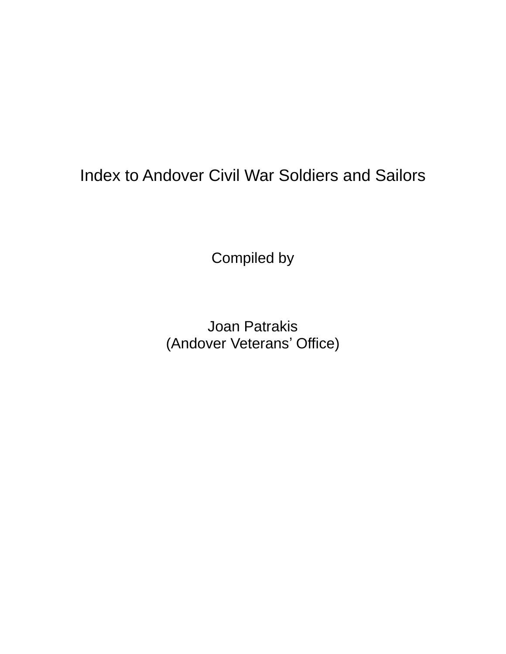# Index to Andover Civil War Soldiers and Sailors

Compiled by

Joan Patrakis (Andover Veterans' Office)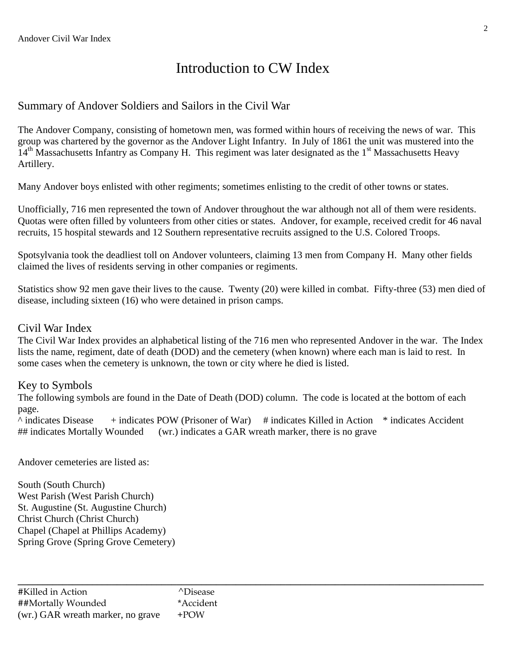## Introduction to CW Index

### Summary of Andover Soldiers and Sailors in the Civil War

The Andover Company, consisting of hometown men, was formed within hours of receiving the news of war. This group was chartered by the governor as the Andover Light Infantry. In July of 1861 the unit was mustered into the  $14<sup>th</sup>$  Massachusetts Infantry as Company H. This regiment was later designated as the 1<sup>st</sup> Massachusetts Heavy Artillery.

Many Andover boys enlisted with other regiments; sometimes enlisting to the credit of other towns or states.

Unofficially, 716 men represented the town of Andover throughout the war although not all of them were residents. Quotas were often filled by volunteers from other cities or states. Andover, for example, received credit for 46 naval recruits, 15 hospital stewards and 12 Southern representative recruits assigned to the U.S. Colored Troops.

Spotsylvania took the deadliest toll on Andover volunteers, claiming 13 men from Company H. Many other fields claimed the lives of residents serving in other companies or regiments.

Statistics show 92 men gave their lives to the cause. Twenty (20) were killed in combat. Fifty-three (53) men died of disease, including sixteen (16) who were detained in prison camps.

#### Civil War Index

The Civil War Index provides an alphabetical listing of the 716 men who represented Andover in the war. The Index lists the name, regiment, date of death (DOD) and the cemetery (when known) where each man is laid to rest. In some cases when the cemetery is unknown, the town or city where he died is listed.

#### Key to Symbols

The following symbols are found in the Date of Death (DOD) column. The code is located at the bottom of each page.

 $\land$  indicates Disease  $+$  indicates POW (Prisoner of War)  $\#$  indicates Killed in Action  $*$  indicates Accident ## indicates Mortally Wounded (wr.) indicates a GAR wreath marker, there is no grave

**\_\_\_\_\_\_\_\_\_\_\_\_\_\_\_\_\_\_\_\_\_\_\_\_\_\_\_\_\_\_\_\_\_\_\_\_\_\_\_\_\_\_\_\_\_\_\_\_\_\_\_\_\_\_\_\_\_\_\_\_\_\_\_\_\_\_\_\_\_\_\_\_\_\_\_\_\_\_\_\_\_\_\_\_\_\_\_\_\_\_\_\_\_\_**

Andover cemeteries are listed as:

South (South Church) West Parish (West Parish Church) St. Augustine (St. Augustine Church) Christ Church (Christ Church) Chapel (Chapel at Phillips Academy) Spring Grove (Spring Grove Cemetery)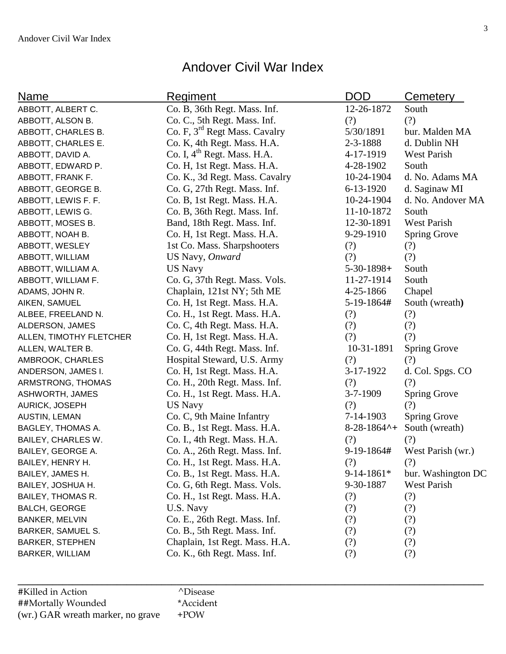### Andover Civil War Index

| Name                    | Regiment                                  | <b>DOD</b>                | Cemetery            |
|-------------------------|-------------------------------------------|---------------------------|---------------------|
| ABBOTT, ALBERT C.       | Co. B, 36th Regt. Mass. Inf.              | 12-26-1872                | South               |
| ABBOTT, ALSON B.        | Co. C., 5th Regt. Mass. Inf.              | (?)                       | (?)                 |
| ABBOTT, CHARLES B.      | Co. F, 3 <sup>rd</sup> Regt Mass. Cavalry | 5/30/1891                 | bur. Malden MA      |
| ABBOTT, CHARLES E.      | Co. K, 4th Regt. Mass. H.A.               | 2-3-1888                  | d. Dublin NH        |
| ABBOTT, DAVID A.        | Co. I, 4 <sup>th</sup> Regt. Mass. H.A.   | 4-17-1919                 | West Parish         |
| ABBOTT, EDWARD P.       | Co. H, 1st Regt. Mass. H.A.               | 4-28-1902                 | South               |
| ABBOTT, FRANK F.        | Co. K., 3d Regt. Mass. Cavalry            | 10-24-1904                | d. No. Adams MA     |
| ABBOTT, GEORGE B.       | Co. G, 27th Regt. Mass. Inf.              | $6 - 13 - 1920$           | d. Saginaw MI       |
| ABBOTT, LEWIS F. F.     | Co. B, 1st Regt. Mass. H.A.               | 10-24-1904                | d. No. Andover MA   |
| ABBOTT, LEWIS G.        | Co. B, 36th Regt. Mass. Inf.              | 11-10-1872                | South               |
| ABBOTT, MOSES B.        | Band, 18th Regt. Mass. Inf.               | 12-30-1891                | West Parish         |
| ABBOTT, NOAH B.         | Co. H, 1st Regt. Mass. H.A.               | 9-29-1910                 | <b>Spring Grove</b> |
| ABBOTT, WESLEY          | 1st Co. Mass. Sharpshooters               | (?)                       | (?)                 |
| ABBOTT, WILLIAM         | US Navy, Onward                           | (?)                       | (?)                 |
| ABBOTT, WILLIAM A.      | <b>US Navy</b>                            | $5-30-1898+$              | South               |
| ABBOTT, WILLIAM F.      | Co. G, 37th Regt. Mass. Vols.             | 11-27-1914                | South               |
| ADAMS, JOHN R.          | Chaplain, 121st NY; 5th ME                | 4-25-1866                 | Chapel              |
| AIKEN, SAMUEL           | Co. H, 1st Regt. Mass. H.A.               | 5-19-1864#                | South (wreath)      |
| ALBEE, FREELAND N.      | Co. H., 1st Regt. Mass. H.A.              | (?)                       | (?)                 |
| ALDERSON, JAMES         | Co. C, 4th Regt. Mass. H.A.               | (?)                       | (?)                 |
| ALLEN, TIMOTHY FLETCHER | Co. H, 1st Regt. Mass. H.A.               | (?)                       | (?)                 |
| ALLEN, WALTER B.        | Co. G, 44th Regt. Mass. Inf.              | 10-31-1891                | <b>Spring Grove</b> |
| AMBROOK, CHARLES        | Hospital Steward, U.S. Army               | (?)                       | (?)                 |
| ANDERSON, JAMES I.      | Co. H, 1st Regt. Mass. H.A.               | 3-17-1922                 | d. Col. Spgs. CO    |
| ARMSTRONG, THOMAS       | Co. H., 20th Regt. Mass. Inf.             | (?)                       | (?)                 |
| ASHWORTH, JAMES         | Co. H., 1st Regt. Mass. H.A.              | 3-7-1909                  | <b>Spring Grove</b> |
| AURICK, JOSEPH          | <b>US Navy</b>                            | (?)                       | (?)                 |
| AUSTIN, LEMAN           | Co. C, 9th Maine Infantry                 | 7-14-1903                 | <b>Spring Grove</b> |
| BAGLEY, THOMAS A.       | Co. B., 1st Regt. Mass. H.A.              | $8-28-1864$ <sup>^+</sup> | South (wreath)      |
| BAILEY, CHARLES W.      | Co. I., 4th Regt. Mass. H.A.              | (?)                       | (?)                 |
| BAILEY, GEORGE A.       | Co. A., 26th Regt. Mass. Inf.             | 9-19-1864#                | West Parish (wr.)   |
| BAILEY, HENRY H.        | Co. H., 1st Regt. Mass. H.A.              | (?)                       | (?)                 |
| BAILEY, JAMES H.        | Co. B., 1st Regt. Mass. H.A.              | 9-14-1861*                | bur. Washington DC  |
| BAILEY, JOSHUA H.       | Co. G, 6th Regt. Mass. Vols.              | 9-30-1887                 | West Parish         |
| BAILEY, THOMAS R.       | Co. H., 1st Regt. Mass. H.A.              | (?)                       | (?)                 |
| <b>BALCH, GEORGE</b>    | U.S. Navy                                 | (?)                       | (?)                 |
| <b>BANKER, MELVIN</b>   | Co. E., 26th Regt. Mass. Inf.             | (?)                       | (?)                 |
| BARKER, SAMUEL S.       | Co. B., 5th Regt. Mass. Inf.              | (?)                       | (?)                 |
| <b>BARKER, STEPHEN</b>  | Chaplain, 1st Regt. Mass. H.A.            | (?)                       | (?)                 |
| BARKER, WILLIAM         | Co. K., 6th Regt. Mass. Inf.              | (?)                       | (?)                 |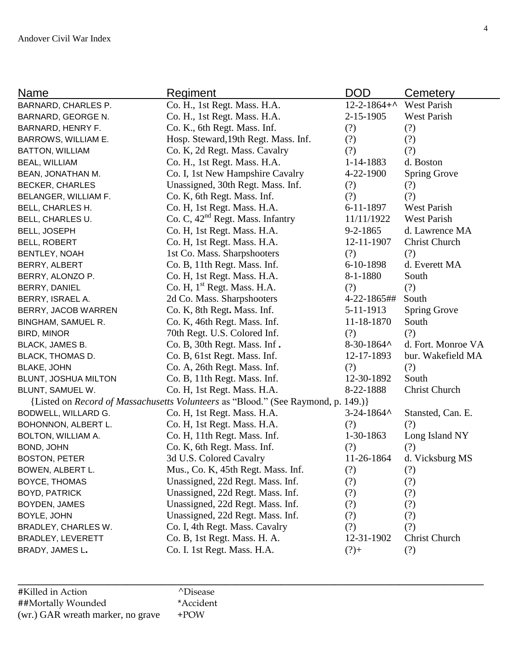| Name                     | <u>Regiment</u>                                                                   | DOD                     | Cemetery            |
|--------------------------|-----------------------------------------------------------------------------------|-------------------------|---------------------|
| BARNARD, CHARLES P.      | Co. H., 1st Regt. Mass. H.A.                                                      | 12-2-1864+^ West Parish |                     |
| BARNARD, GEORGE N.       | Co. H., 1st Regt. Mass. H.A.                                                      | 2-15-1905               | West Parish         |
| BARNARD, HENRY F.        | Co. K., 6th Regt. Mass. Inf.                                                      | (?)                     | (?)                 |
| BARROWS, WILLIAM E.      | Hosp. Steward, 19th Regt. Mass. Inf.                                              | (?)                     | (?)                 |
| <b>BATTON, WILLIAM</b>   | Co. K, 2d Regt. Mass. Cavalry                                                     | (?)                     | (?)                 |
| <b>BEAL, WILLIAM</b>     | Co. H., 1st Regt. Mass. H.A.                                                      | 1-14-1883               | d. Boston           |
| BEAN, JONATHAN M.        | Co. I, 1st New Hampshire Cavalry                                                  | $4 - 22 - 1900$         | <b>Spring Grove</b> |
| BECKER, CHARLES          | Unassigned, 30th Regt. Mass. Inf.                                                 | (?)                     | (?)                 |
| BELANGER, WILLIAM F.     | Co. K, 6th Regt. Mass. Inf.                                                       | (?)                     | (?)                 |
| <b>BELL, CHARLES H.</b>  | Co. H, 1st Regt. Mass. H.A.                                                       | 6-11-1897               | West Parish         |
| BELL, CHARLES U.         | Co. C, 42 <sup>nd</sup> Regt. Mass. Infantry                                      | 11/11/1922              | <b>West Parish</b>  |
| <b>BELL, JOSEPH</b>      | Co. H, 1st Regt. Mass. H.A.                                                       | $9 - 2 - 1865$          | d. Lawrence MA      |
| <b>BELL, ROBERT</b>      | Co. H, 1st Regt. Mass. H.A.                                                       | 12-11-1907              | Christ Church       |
| BENTLEY, NOAH            | 1st Co. Mass. Sharpshooters                                                       | (?)                     | (?)                 |
| BERRY, ALBERT            | Co. B, 11th Regt. Mass. Inf.                                                      | 6-10-1898               | d. Everett MA       |
| BERRY, ALONZO P.         | Co. H, 1st Regt. Mass. H.A.                                                       | 8-1-1880                | South               |
| BERRY, DANIEL            | Co. H, 1 <sup>st</sup> Regt. Mass. H.A.                                           | (?)                     | (?)                 |
| BERRY, ISRAEL A.         | 2d Co. Mass. Sharpshooters                                                        | 4-22-1865##             | South               |
| BERRY, JACOB WARREN      | Co. K, 8th Regt. Mass. Inf.                                                       | 5-11-1913               | <b>Spring Grove</b> |
| BINGHAM, SAMUEL R.       | Co. K, 46th Regt. Mass. Inf.                                                      | 11-18-1870              | South               |
| <b>BIRD, MINOR</b>       | 70th Regt. U.S. Colored Inf.                                                      | (?)                     | (?)                 |
| BLACK, JAMES B.          | Co. B, 30th Regt. Mass. Inf.                                                      | $8-30-1864$             | d. Fort. Monroe VA  |
| BLACK, THOMAS D.         | Co. B, 61st Regt. Mass. Inf.                                                      | 12-17-1893              | bur. Wakefield MA   |
| <b>BLAKE, JOHN</b>       | Co. A, 26th Regt. Mass. Inf.                                                      | (?)                     | (?)                 |
| BLUNT, JOSHUA MILTON     | Co. B, 11th Regt. Mass. Inf.                                                      | 12-30-1892              | South               |
| BLUNT, SAMUEL W.         | Co. H, 1st Regt. Mass. H.A.                                                       | 8-22-1888               | Christ Church       |
|                          | {Listed on Record of Massachusetts Volunteers as "Blood." (See Raymond, p. 149.)} |                         |                     |
| BODWELL, WILLARD G.      | Co. H, 1st Regt. Mass. H.A.                                                       | $3 - 24 - 1864$         | Stansted, Can. E.   |
| BOHONNON, ALBERT L.      | Co. H, 1st Regt. Mass. H.A.                                                       | (?)                     | (?)                 |
| BOLTON, WILLIAM A.       | Co. H, 11th Regt. Mass. Inf.                                                      | 1-30-1863               | Long Island NY      |
| BOND, JOHN               | Co. K, 6th Regt. Mass. Inf.                                                       | (?)                     | (?)                 |
| <b>BOSTON, PETER</b>     | 3d U.S. Colored Cavalry                                                           | 11-26-1864              | d. Vicksburg MS     |
| BOWEN, ALBERT L.         | Mus., Co. K, 45th Regt. Mass. Inf.                                                | (?)                     | (?)                 |
| BOYCE, THOMAS            | Unassigned, 22d Regt. Mass. Inf.                                                  | (?)                     | (?)                 |
| <b>BOYD, PATRICK</b>     | Unassigned, 22d Regt. Mass. Inf.                                                  | (?)                     | (?)                 |
| BOYDEN, JAMES            | Unassigned, 22d Regt. Mass. Inf.                                                  | (?)                     | (?)                 |
| BOYLE, JOHN              | Unassigned, 22d Regt. Mass. Inf.                                                  | (?)                     | (?)                 |
| BRADLEY, CHARLES W.      | Co. I, 4th Regt. Mass. Cavalry                                                    | (?)                     | (?)                 |
| <b>BRADLEY, LEVERETT</b> | Co. B, 1st Regt. Mass. H. A.                                                      | 12-31-1902              | Christ Church       |
| BRADY, JAMES L.          | Co. I. 1st Regt. Mass. H.A.                                                       | $(?)+$                  | (?)                 |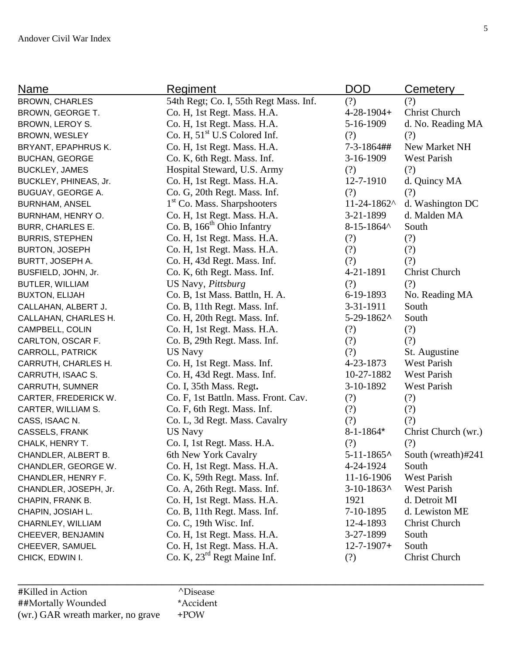| Name                    | Regiment                                | <b>DOD</b>        | Cemetery             |
|-------------------------|-----------------------------------------|-------------------|----------------------|
| <b>BROWN, CHARLES</b>   | 54th Regt; Co. I, 55th Regt Mass. Inf.  | (?)               | (?)                  |
| BROWN, GEORGE T.        | Co. H, 1st Regt. Mass. H.A.             | $4 - 28 - 1904 +$ | <b>Christ Church</b> |
| BROWN, LEROY S.         | Co. H, 1st Regt. Mass. H.A.             | 5-16-1909         | d. No. Reading MA    |
| BROWN, WESLEY           | Co. H, $51st$ U.S Colored Inf.          | (?)               | (?)                  |
| BRYANT, EPAPHRUS K.     | Co. H, 1st Regt. Mass. H.A.             | 7-3-1864##        | New Market NH        |
| <b>BUCHAN, GEORGE</b>   | Co. K, 6th Regt. Mass. Inf.             | $3-16-1909$       | West Parish          |
| <b>BUCKLEY, JAMES</b>   | Hospital Steward, U.S. Army             | (?)               | (?)                  |
| BUCKLEY, PHINEAS, Jr.   | Co. H, 1st Regt. Mass. H.A.             | 12-7-1910         | d. Quincy MA         |
| BUGUAY, GEORGE A.       | Co. G, 20th Regt. Mass. Inf.            | (?)               | (?)                  |
| <b>BURNHAM, ANSEL</b>   | 1 <sup>st</sup> Co. Mass. Sharpshooters | $11 - 24 - 1862$  | d. Washington DC     |
| BURNHAM, HENRY O.       | Co. H, 1st Regt. Mass. H.A.             | 3-21-1899         | d. Malden MA         |
| <b>BURR, CHARLES E.</b> | Co. B, 166 <sup>th</sup> Ohio Infantry  | $8 - 15 - 1864$   | South                |
| <b>BURRIS, STEPHEN</b>  | Co. H, 1st Regt. Mass. H.A.             | (?)               | (?)                  |
| <b>BURTON, JOSEPH</b>   | Co. H, 1st Regt. Mass. H.A.             | (?)               | (?)                  |
| BURTT, JOSEPH A.        | Co. H, 43d Regt. Mass. Inf.             | (?)               | (?)                  |
| BUSFIELD, JOHN, Jr.     | Co. K, 6th Regt. Mass. Inf.             | 4-21-1891         | Christ Church        |
| BUTLER, WILLIAM         | US Navy, Pittsburg                      | (?)               | (?)                  |
| <b>BUXTON, ELIJAH</b>   | Co. B, 1st Mass. Battln, H. A.          | 6-19-1893         | No. Reading MA       |
| CALLAHAN, ALBERT J.     | Co. B, 11th Regt. Mass. Inf.            | 3-31-1911         | South                |
| CALLAHAN, CHARLES H.    | Co. H, 20th Regt. Mass. Inf.            | $5-29-1862$ ^     | South                |
| CAMPBELL, COLIN         | Co. H, 1st Regt. Mass. H.A.             | (?)               | (?)                  |
| CARLTON, OSCAR F.       | Co. B, 29th Regt. Mass. Inf.            | (?)               | (?)                  |
| CARROLL, PATRICK        | <b>US Navy</b>                          | (?)               | St. Augustine        |
| CARRUTH, CHARLES H.     | Co. H, 1st Regt. Mass. Inf.             | 4-23-1873         | <b>West Parish</b>   |
| CARRUTH, ISAAC S.       | Co. H, 43d Regt. Mass. Inf.             | 10-27-1882        | <b>West Parish</b>   |
| CARRUTH, SUMNER         | Co. I, 35th Mass. Regt.                 | 3-10-1892         | West Parish          |
| CARTER, FREDERICK W.    | Co. F, 1st Battln. Mass. Front. Cav.    | (?)               | (?)                  |
| CARTER, WILLIAM S.      | Co. F, 6th Regt. Mass. Inf.             | (?)               | (?)                  |
| CASS, ISAAC N.          | Co. L, 3d Regt. Mass. Cavalry           | (?)               | (?)                  |
| CASSELS, FRANK          | <b>US Navy</b>                          | $8 - 1 - 1864*$   | Christ Church (wr.)  |
| CHALK, HENRY T.         | Co. I, 1st Regt. Mass. H.A.             | (?)               | (?)                  |
| CHANDLER, ALBERT B.     | 6th New York Cavalry                    | $5 - 11 - 1865$   | South (wreath)#241   |
| CHANDLER, GEORGE W.     | Co. H, 1st Regt. Mass. H.A.             | 4-24-1924         | South                |
| CHANDLER, HENRY F.      | Co. K, 59th Regt. Mass. Inf.            | 11-16-1906        | West Parish          |
| CHANDLER, JOSEPH, Jr.   | Co. A, 26th Regt. Mass. Inf.            | $3-10-1863$ ^     | West Parish          |
| CHAPIN, FRANK B.        | Co. H, 1st Regt. Mass. H.A.             | 1921              | d. Detroit MI        |
| CHAPIN, JOSIAH L.       | Co. B, 11th Regt. Mass. Inf.            | 7-10-1895         | d. Lewiston ME       |
| CHARNLEY, WILLIAM       | Co. C, 19th Wisc. Inf.                  | 12-4-1893         | Christ Church        |
| CHEEVER, BENJAMIN       | Co. H, 1st Regt. Mass. H.A.             | 3-27-1899         | South                |
| CHEEVER, SAMUEL         | Co. H, 1st Regt. Mass. H.A.             | $12 - 7 - 1907 +$ | South                |
| CHICK, EDWIN I.         | Co. K, $23^{rd}$ Regt Maine Inf.        | (?)               | <b>Christ Church</b> |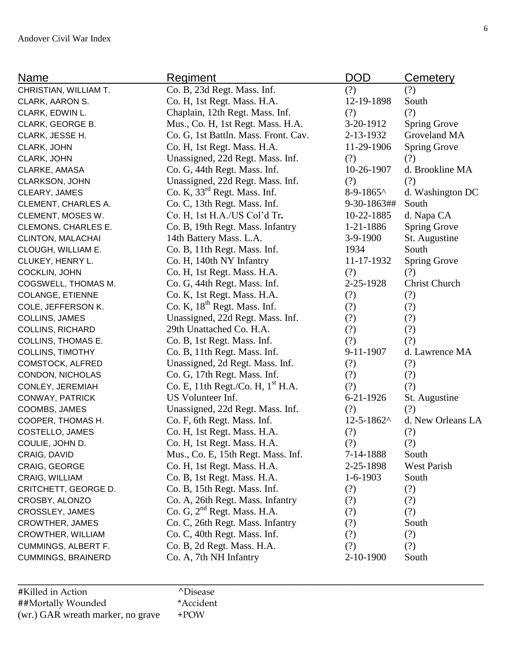| <b>Name</b>               | <b>Regiment</b>                          | <b>DOD</b>      | <b>Cemetery</b>     |
|---------------------------|------------------------------------------|-----------------|---------------------|
| CHRISTIAN, WILLIAM T.     | Co. B, 23d Regt. Mass. Inf.              | (?)             | (?)                 |
| CLARK, AARON S.           | Co. H, 1st Regt. Mass. H.A.              | 12-19-1898      | South               |
| CLARK, EDWIN L.           | Chaplain, 12th Regt. Mass. Inf.          | (?)             | (?)                 |
| CLARK, GEORGE B.          | Mus., Co. H, 1st Regt. Mass. H.A.        | 3-20-1912       | <b>Spring Grove</b> |
| CLARK, JESSE H.           | Co. G, 1st Battln. Mass. Front. Cav.     | 2-13-1932       | Groveland MA        |
| CLARK, JOHN               | Co. H, 1st Regt. Mass. H.A.              | 11-29-1906      | <b>Spring Grove</b> |
| CLARK, JOHN               | Unassigned, 22d Regt. Mass. Inf.         | (?)             | (?)                 |
| CLARKE, AMASA             | Co. G, 44th Regt. Mass. Inf.             | 10-26-1907      | d. Brookline MA     |
| CLARKSON, JOHN            | Unassigned, 22d Regt. Mass. Inf.         | (?)             | (?)                 |
| CLEARY, JAMES             | Co. K, 33 <sup>rd</sup> Regt. Mass. Inf. | $8-9-1865$      | d. Washington DC    |
| CLEMENT, CHARLES A.       | Co. C, 13th Regt. Mass. Inf.             | 9-30-1863##     | South               |
| CLEMENT, MOSES W.         | Co. H, 1st H.A./US Col'd Tr.             | 10-22-1885      | d. Napa CA          |
| CLEMONS, CHARLES E.       | Co. B, 19th Regt. Mass. Infantry         | $1 - 21 - 1886$ | <b>Spring Grove</b> |
| CLINTON, MALACHAI         | 14th Battery Mass. L.A.                  | $3-9-1900$      | St. Augustine       |
| CLOUGH, WILLIAM E.        | Co. B, 11th Regt. Mass. Inf.             | 1934            | South               |
| CLUKEY, HENRY L.          | Co. H, 140th NY Infantry                 | 11-17-1932      | <b>Spring Grove</b> |
| COCKLIN, JOHN             | Co. H, 1st Regt. Mass. H.A.              | (?)             | (?)                 |
| COGSWELL, THOMAS M.       | Co. G, 44th Regt. Mass. Inf.             | 2-25-1928       | Christ Church       |
| <b>COLANGE, ETIENNE</b>   | Co. K, 1st Regt. Mass. H.A.              | (?)             | (?)                 |
| COLE, JEFFERSON K.        | Co. K, 18 <sup>th</sup> Regt. Mass. Inf. | (?)             | (?)                 |
| COLLINS, JAMES            | Unassigned, 22d Regt. Mass. Inf.         | (?)             | (?)                 |
| <b>COLLINS, RICHARD</b>   | 29th Unattached Co. H.A.                 | (?)             | (?)                 |
| <b>COLLINS, THOMAS E.</b> | Co. B, 1st Regt. Mass. Inf.              | (?)             | (?)                 |
| <b>COLLINS, TIMOTHY</b>   | Co. B, 11th Regt. Mass. Inf.             | 9-11-1907       | d. Lawrence MA      |
| COMSTOCK, ALFRED          | Unassigned, 2d Regt. Mass. Inf.          | (?)             | (?)                 |
| CONDON, NICHOLAS          | Co. G, 17th Regt. Mass. Inf.             | (?)             | (?)                 |
| CONLEY, JEREMIAH          | Co. E, 11th Regt./Co. H, $1st$ H.A.      | (?)             | (?)                 |
| CONWAY, PATRICK           | US Volunteer Inf.                        | 6-21-1926       | St. Augustine       |
| COOMBS, JAMES             | Unassigned, 22d Regt. Mass. Inf.         | (?)             | (?)                 |
| COOPER, THOMAS H.         | Co. F, 6th Regt. Mass. Inf.              | 12-5-1862^      | d. New Orleans LA   |
| COSTELLO, JAMES           | Co. H, 1st Regt. Mass. H.A.              | (?)             | (?)                 |
| COULIE, JOHN D.           | Co. H, 1st Regt. Mass. H.A.              | (?)             | (?)                 |
| CRAIG, DAVID              | Mus., Co. E, 15th Regt. Mass. Inf.       | 7-14-1888       | South               |
| CRAIG, GEORGE             | Co. H, 1st Regt. Mass. H.A.              | 2-25-1898       | <b>West Parish</b>  |
| CRAIG, WILLIAM            | Co. B, 1st Regt. Mass. H.A.              | $1-6-1903$      | South               |
| CRITCHETT, GEORGE D.      | Co. B, 15th Regt. Mass. Inf.             | (?)             | (?)                 |
| CROSBY, ALONZO            | Co. A, 26th Regt. Mass. Infantry         | (?)             | (?)                 |
| CROSSLEY, JAMES           | Co. G, $2nd$ Regt. Mass. H.A.            | (?)             | (?)                 |
| <b>CROWTHER, JAMES</b>    | Co. C, 26th Regt. Mass. Infantry         | (?)             | South               |
| CROWTHER, WILLIAM         | Co. C, 40th Regt. Mass. Inf.             | (?)             | (?)                 |
| CUMMINGS, ALBERT F.       | Co. B, 2d Regt. Mass. H.A.               | (?)             | (?)                 |
| CUMMINGS, BRAINERD        | Co. A, 7th NH Infantry                   | $2 - 10 - 1900$ | South               |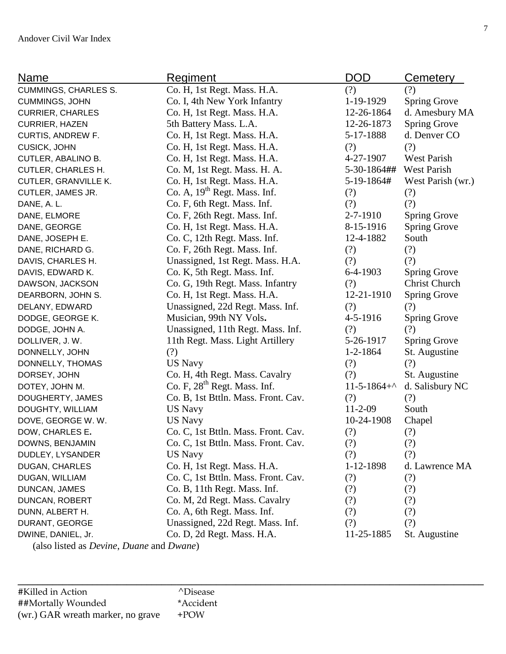| Name                                                            | <b>Regiment</b>                          | DOD                     | Cemetery             |
|-----------------------------------------------------------------|------------------------------------------|-------------------------|----------------------|
| <b>CUMMINGS, CHARLES S.</b>                                     | Co. H, 1st Regt. Mass. H.A.              | (?)                     | (?)                  |
| CUMMINGS, JOHN                                                  | Co. I, 4th New York Infantry             | 1-19-1929               | <b>Spring Grove</b>  |
| <b>CURRIER, CHARLES</b>                                         | Co. H, 1st Regt. Mass. H.A.              | 12-26-1864              | d. Amesbury MA       |
| <b>CURRIER, HAZEN</b>                                           | 5th Battery Mass. L.A.                   | 12-26-1873              | Spring Grove         |
| CURTIS, ANDREW F.                                               | Co. H, 1st Regt. Mass. H.A.              | 5-17-1888               | d. Denver CO         |
| <b>CUSICK, JOHN</b>                                             | Co. H, 1st Regt. Mass. H.A.              | (?)                     | (?)                  |
| CUTLER, ABALINO B.                                              | Co. H, 1st Regt. Mass. H.A.              | 4-27-1907               | <b>West Parish</b>   |
| <b>CUTLER, CHARLES H.</b>                                       | Co. M, 1st Regt. Mass. H. A.             | 5-30-1864## West Parish |                      |
| <b>CUTLER, GRANVILLE K.</b>                                     | Co. H, 1st Regt. Mass. H.A.              | 5-19-1864#              | West Parish (wr.)    |
| CUTLER, JAMES JR.                                               | Co. A, 19 <sup>th</sup> Regt. Mass. Inf. | (?)                     | (?)                  |
| DANE, A. L.                                                     | Co. F, 6th Regt. Mass. Inf.              | (?)                     | (?)                  |
| DANE, ELMORE                                                    | Co. F, 26th Regt. Mass. Inf.             | 2-7-1910                | <b>Spring Grove</b>  |
| DANE, GEORGE                                                    | Co. H, 1st Regt. Mass. H.A.              | 8-15-1916               | <b>Spring Grove</b>  |
| DANE, JOSEPH E.                                                 | Co. C, 12th Regt. Mass. Inf.             | 12-4-1882               | South                |
| DANE, RICHARD G.                                                | Co. F, 26th Regt. Mass. Inf.             | (?)                     | (?)                  |
| DAVIS, CHARLES H.                                               | Unassigned, 1st Regt. Mass. H.A.         | (?)                     | (?)                  |
| DAVIS, EDWARD K.                                                | Co. K, 5th Regt. Mass. Inf.              | $6-4-1903$              | <b>Spring Grove</b>  |
| DAWSON, JACKSON                                                 | Co. G, 19th Regt. Mass. Infantry         | (?)                     | <b>Christ Church</b> |
| DEARBORN, JOHN S.                                               | Co. H, 1st Regt. Mass. H.A.              | 12-21-1910              | <b>Spring Grove</b>  |
| DELANY, EDWARD                                                  | Unassigned, 22d Regt. Mass. Inf.         | (?)                     | (?)                  |
| DODGE, GEORGE K.                                                | Musician, 99th NY Vols.                  | 4-5-1916                | Spring Grove         |
| DODGE, JOHN A.                                                  | Unassigned, 11th Regt. Mass. Inf.        | (?)                     | (?)                  |
| DOLLIVER, J.W.                                                  | 11th Regt. Mass. Light Artillery         | 5-26-1917               | <b>Spring Grove</b>  |
| DONNELLY, JOHN                                                  | (?)                                      | $1 - 2 - 1864$          | St. Augustine        |
| DONNELLY, THOMAS                                                | <b>US Navy</b>                           | (?)                     | (?)                  |
| DORSEY, JOHN                                                    | Co. H, 4th Regt. Mass. Cavalry           | (?)                     | St. Augustine        |
| DOTEY, JOHN M.                                                  | Co. F, 28 <sup>th</sup> Regt. Mass. Inf. | $11-5-1864+^{\circ}$    | d. Salisbury NC      |
| DOUGHERTY, JAMES                                                | Co. B, 1st Bttln. Mass. Front. Cav.      | (?)                     | (?)                  |
| DOUGHTY, WILLIAM                                                | <b>US Navy</b>                           | $11 - 2 - 09$           | South                |
| DOVE, GEORGE W. W.                                              | <b>US Navy</b>                           | 10-24-1908              | Chapel               |
| DOW, CHARLES E.                                                 | Co. C, 1st Bttln. Mass. Front. Cav.      | (?)                     | (?)                  |
| DOWNS, BENJAMIN                                                 | Co. C, 1st Bttln. Mass. Front. Cav.      | (?)                     | (?)                  |
| DUDLEY, LYSANDER                                                | <b>US Navy</b>                           | (?)                     | (?)                  |
| <b>DUGAN, CHARLES</b>                                           | Co. H, 1st Regt. Mass. H.A.              | 1-12-1898               | d. Lawrence MA       |
| DUGAN, WILLIAM                                                  | Co. C, 1st Bttln. Mass. Front. Cav.      | (?)                     | (?)                  |
| DUNCAN, JAMES                                                   | Co. B, 11th Regt. Mass. Inf.             | (?)                     | (?)                  |
| DUNCAN, ROBERT                                                  | Co. M, 2d Regt. Mass. Cavalry            | (?)                     | (?)                  |
| DUNN, ALBERT H.                                                 | Co. A, 6th Regt. Mass. Inf.              | (?)                     | (?)                  |
| DURANT, GEORGE                                                  | Unassigned, 22d Regt. Mass. Inf.         | (?)                     | (?)                  |
| DWINE, DANIEL, Jr.                                              | Co. D, 2d Regt. Mass. H.A.               | 11-25-1885              | St. Augustine        |
| (also listed as <i>Devine</i> , <i>Duane</i> and <i>Dwane</i> ) |                                          |                         |                      |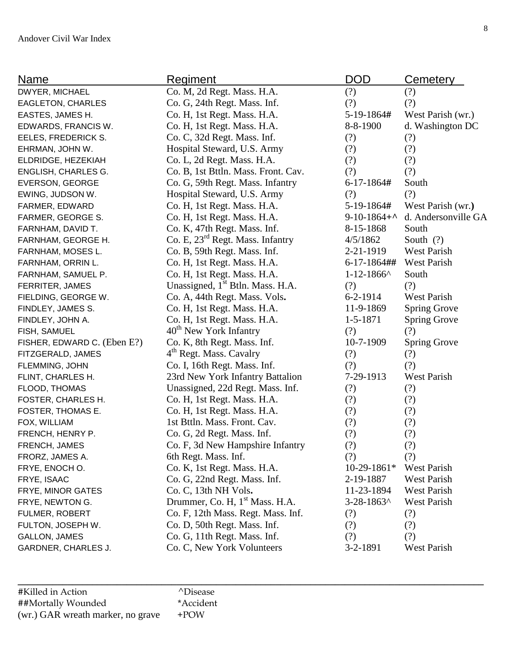| <b>Name</b>                 | <b>Regiment</b>                              | <b>DOD</b>       | Cemetery            |
|-----------------------------|----------------------------------------------|------------------|---------------------|
| DWYER, MICHAEL              | Co. M, 2d Regt. Mass. H.A.                   | (?)              | (?)                 |
| EAGLETON, CHARLES           | Co. G, 24th Regt. Mass. Inf.                 | (?)              | (?)                 |
| EASTES, JAMES H.            | Co. H, 1st Regt. Mass. H.A.                  | 5-19-1864#       | West Parish (wr.)   |
| EDWARDS, FRANCIS W.         | Co. H, 1st Regt. Mass. H.A.                  | 8-8-1900         | d. Washington DC    |
| EELES, FREDERICK S.         | Co. C, 32d Regt. Mass. Inf.                  | (?)              | (?)                 |
| EHRMAN, JOHN W.             | Hospital Steward, U.S. Army                  | (?)              | (?)                 |
| ELDRIDGE, HEZEKIAH          | Co. L, 2d Regt. Mass. H.A.                   | (?)              | (?)                 |
| ENGLISH, CHARLES G.         | Co. B, 1st Bttln. Mass. Front. Cav.          | (?)              | (?)                 |
| <b>EVERSON, GEORGE</b>      | Co. G, 59th Regt. Mass. Infantry             | $6 - 17 - 1864#$ | South               |
| EWING, JUDSON W.            | Hospital Steward, U.S. Army                  | (?)              | (?)                 |
| FARMER, EDWARD              | Co. H, 1st Regt. Mass. H.A.                  | 5-19-1864#       | West Parish (wr.)   |
| FARMER, GEORGE S.           | Co. H, 1st Regt. Mass. H.A.                  | $9-10-1864+$     | d. Andersonville GA |
| FARNHAM, DAVID T.           | Co. K, 47th Regt. Mass. Inf.                 | 8-15-1868        | South               |
| FARNHAM, GEORGE H.          | Co. E, 23 <sup>rd</sup> Regt. Mass. Infantry | 4/5/1862         | South $(?)$         |
| FARNHAM, MOSES L.           | Co. B, 59th Regt. Mass. Inf.                 | 2-21-1919        | West Parish         |
| FARNHAM, ORRIN L.           | Co. H, 1st Regt. Mass. H.A.                  | $6 - 17 - 1864$  | <b>West Parish</b>  |
| FARNHAM, SAMUEL P.          | Co. H, 1st Regt. Mass. H.A.                  | $1 - 12 - 1866$  | South               |
| FERRITER, JAMES             | Unassigned, 1 <sup>st</sup> Btln. Mass. H.A. | (?)              | (?)                 |
| FIELDING, GEORGE W.         | Co. A, 44th Regt. Mass. Vols.                | $6 - 2 - 1914$   | West Parish         |
| FINDLEY, JAMES S.           | Co. H, 1st Regt. Mass. H.A.                  | 11-9-1869        | <b>Spring Grove</b> |
| FINDLEY, JOHN A.            | Co. H, 1st Regt. Mass. H.A.                  | $1 - 5 - 1871$   | <b>Spring Grove</b> |
| FISH, SAMUEL                | 40 <sup>th</sup> New York Infantry           | (?)              | (?)                 |
| FISHER, EDWARD C. (Eben E?) | Co. K, 8th Regt. Mass. Inf.                  | 10-7-1909        | <b>Spring Grove</b> |
| FITZGERALD, JAMES           | 4 <sup>th</sup> Regt. Mass. Cavalry          | (?)              | (?)                 |
| FLEMMING, JOHN              | Co. I, 16th Regt. Mass. Inf.                 | (?)              | (?)                 |
| FLINT, CHARLES H.           | 23rd New York Infantry Battalion             | 7-29-1913        | West Parish         |
| <b>FLOOD, THOMAS</b>        | Unassigned, 22d Regt. Mass. Inf.             | (?)              | (?)                 |
| FOSTER, CHARLES H.          | Co. H, 1st Regt. Mass. H.A.                  | (?)              | (?)                 |
| FOSTER, THOMAS E.           | Co. H, 1st Regt. Mass. H.A.                  | (?)              | (?)                 |
| FOX, WILLIAM                | 1st Bttln. Mass. Front. Cav.                 | (?)              | (?)                 |
| FRENCH, HENRY P.            | Co. G, 2d Regt. Mass. Inf.                   | (?)              | (?)                 |
| FRENCH, JAMES               | Co. F, 3d New Hampshire Infantry             | (?)              | (?)                 |
| FRORZ, JAMES A.             | 6th Regt. Mass. Inf.                         | (?)              | (?)                 |
| FRYE, ENOCH O.              | Co. K, 1st Regt. Mass. H.A.                  | $10-29-1861*$    | West Parish         |
| FRYE, ISAAC                 | Co. G, 22nd Regt. Mass. Inf.                 | 2-19-1887        | <b>West Parish</b>  |
| FRYE, MINOR GATES           | Co. C, 13th NH Vols.                         | 11-23-1894       | West Parish         |
| FRYE, NEWTON G.             | Drummer, Co. H, 1 <sup>st</sup> Mass. H.A.   | $3 - 28 - 1863$  | West Parish         |
| FULMER, ROBERT              | Co. F, 12th Mass. Regt. Mass. Inf.           | (?)              | (?)                 |
| FULTON, JOSEPH W.           | Co. D, 50th Regt. Mass. Inf.                 | (?)              | (?)                 |
| <b>GALLON, JAMES</b>        | Co. G, 11th Regt. Mass. Inf.                 | (?)              | (?)                 |
| GARDNER, CHARLES J.         | Co. C, New York Volunteers                   | $3-2-1891$       | West Parish         |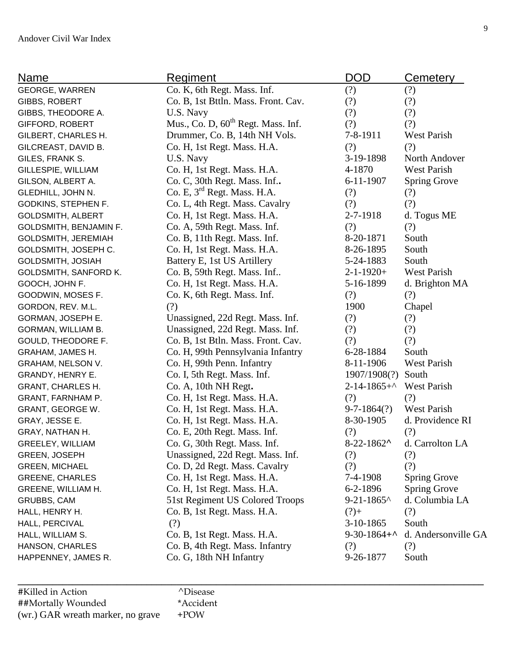| <b>Name</b>              | <b>Regiment</b>                                | <b>DOD</b>                  | <b>Cemetery</b>     |
|--------------------------|------------------------------------------------|-----------------------------|---------------------|
| <b>GEORGE, WARREN</b>    | Co. K, 6th Regt. Mass. Inf.                    | (?)                         | (?)                 |
| GIBBS, ROBERT            | Co. B, 1st Bttln. Mass. Front. Cav.            | (?)                         | (?)                 |
| GIBBS, THEODORE A.       | U.S. Navy                                      | (?)                         | (?)                 |
| <b>GIFFORD, ROBERT</b>   | Mus., Co. D, 60 <sup>th</sup> Regt. Mass. Inf. | (?)                         | (?)                 |
| GILBERT, CHARLES H.      | Drummer, Co. B, 14th NH Vols.                  | 7-8-1911                    | West Parish         |
| GILCREAST, DAVID B.      | Co. H, 1st Regt. Mass. H.A.                    | (?)                         | (?)                 |
| GILES, FRANK S.          | U.S. Navy                                      | 3-19-1898                   | North Andover       |
| GILLESPIE, WILLIAM       | Co. H, 1st Regt. Mass. H.A.                    | 4-1870                      | <b>West Parish</b>  |
| GILSON, ALBERT A.        | Co. C, 30th Regt. Mass. Inf                    | 6-11-1907                   | <b>Spring Grove</b> |
| GLEDHILL, JOHN N.        | Co. E, 3 <sup>rd</sup> Regt. Mass. H.A.        | (?)                         | (?)                 |
| GODKINS, STEPHEN F.      | Co. L, 4th Regt. Mass. Cavalry                 | (?)                         | (?)                 |
| <b>GOLDSMITH, ALBERT</b> | Co. H, 1st Regt. Mass. H.A.                    | 2-7-1918                    | d. Togus ME         |
| GOLDSMITH, BENJAMIN F.   | Co. A, 59th Regt. Mass. Inf.                   | (?)                         | (?)                 |
| GOLDSMITH, JEREMIAH      | Co. B, 11th Regt. Mass. Inf.                   | 8-20-1871                   | South               |
| GOLDSMITH, JOSEPH C.     | Co. H, 1st Regt. Mass. H.A.                    | 8-26-1895                   | South               |
| GOLDSMITH, JOSIAH        | Battery E, 1st US Artillery                    | 5-24-1883                   | South               |
| GOLDSMITH, SANFORD K.    | Co. B, 59th Regt. Mass. Inf                    | $2 - 1 - 1920 +$            | <b>West Parish</b>  |
| GOOCH, JOHN F.           | Co. H, 1st Regt. Mass. H.A.                    | 5-16-1899                   | d. Brighton MA      |
| GOODWIN, MOSES F.        | Co. K, 6th Regt. Mass. Inf.                    | (?)                         | (?)                 |
| GORDON, REV. M.L.        | (?)                                            | 1900                        | Chapel              |
| GORMAN, JOSEPH E.        | Unassigned, 22d Regt. Mass. Inf.               | (?)                         | (?)                 |
| GORMAN, WILLIAM B.       | Unassigned, 22d Regt. Mass. Inf.               | (?)                         | (?)                 |
| GOULD, THEODORE F.       | Co. B, 1st Btln. Mass. Front. Cav.             | (?)                         | (?)                 |
| GRAHAM, JAMES H.         | Co. H, 99th Pennsylvania Infantry              | 6-28-1884                   | South               |
| GRAHAM, NELSON V.        | Co. H, 99th Penn. Infantry                     | 8-11-1906                   | <b>West Parish</b>  |
| GRANDY, HENRY E.         | Co. I, 5th Regt. Mass. Inf.                    | 1907/1908(?)                | South               |
| <b>GRANT, CHARLES H.</b> | Co. A, 10th NH Regt.                           | $2 - 14 - 1865 + ^{\wedge}$ | <b>West Parish</b>  |
| GRANT, FARNHAM P.        | Co. H, 1st Regt. Mass. H.A.                    | (?)                         | (?)                 |
| GRANT, GEORGE W.         | Co. H, 1st Regt. Mass. H.A.                    | $9 - 7 - 1864$ (?)          | <b>West Parish</b>  |
| GRAY, JESSE E.           | Co. H, 1st Regt. Mass. H.A.                    | 8-30-1905                   | d. Providence RI    |
| GRAY, NATHAN H.          | Co. E, 20th Regt. Mass. Inf.                   | (?)                         | (?)                 |
| GREELEY, WILLIAM         | Co. G, 30th Regt. Mass. Inf.                   | $8-22-1862$                 | d. Carrolton LA     |
| GREEN, JOSEPH            | Unassigned, 22d Regt. Mass. Inf.               | (?)                         | (?)                 |
| <b>GREEN, MICHAEL</b>    | Co. D, 2d Regt. Mass. Cavalry                  | (?)                         | (?)                 |
| <b>GREENE, CHARLES</b>   | Co. H, 1st Regt. Mass. H.A.                    | 7-4-1908                    | <b>Spring Grove</b> |
| GREENE, WILLIAM H.       | Co. H, 1st Regt. Mass. H.A.                    | $6 - 2 - 1896$              | <b>Spring Grove</b> |
| GRUBBS, CAM              | 51st Regiment US Colored Troops                | $9 - 21 - 1865$             | d. Columbia LA      |
| HALL, HENRY H.           | Co. B, 1st Regt. Mass. H.A.                    | $(?)+$                      | (?)                 |
| HALL, PERCIVAL           | (?)                                            | 3-10-1865                   | South               |
| HALL, WILLIAM S.         | Co. B, 1st Regt. Mass. H.A.                    | $9-30-1864+$                | d. Andersonville GA |
| HANSON, CHARLES          | Co. B, 4th Regt. Mass. Infantry                | (?)                         | (?)                 |
| HAPPENNEY, JAMES R.      | Co. G, 18th NH Infantry                        | 9-26-1877                   | South               |

9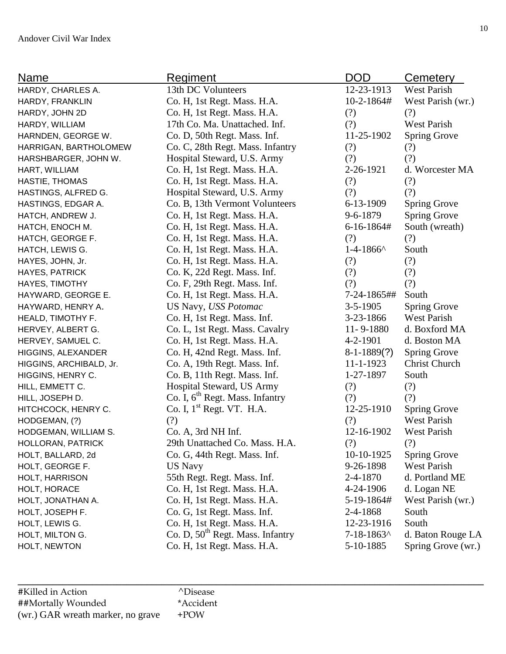| Name                    | <u>Regiment</u>                              | <b>DOD</b>       | Cemetery             |
|-------------------------|----------------------------------------------|------------------|----------------------|
| HARDY, CHARLES A.       | 13th DC Volunteers                           | 12-23-1913       | <b>West Parish</b>   |
| HARDY, FRANKLIN         | Co. H, 1st Regt. Mass. H.A.                  | $10 - 2 - 1864#$ | West Parish (wr.)    |
| HARDY, JOHN 2D          | Co. H, 1st Regt. Mass. H.A.                  | (?)              | (?)                  |
| HARDY, WILLIAM          | 17th Co. Ma. Unattached. Inf.                | (?)              | West Parish          |
| HARNDEN, GEORGE W.      | Co. D, 50th Regt. Mass. Inf.                 | 11-25-1902       | <b>Spring Grove</b>  |
| HARRIGAN, BARTHOLOMEW   | Co. C, 28th Regt. Mass. Infantry             | (?)              | (?)                  |
| HARSHBARGER, JOHN W.    | Hospital Steward, U.S. Army                  | (?)              | (?)                  |
| HART, WILLIAM           | Co. H, 1st Regt. Mass. H.A.                  | 2-26-1921        | d. Worcester MA      |
| HASTIE, THOMAS          | Co. H, 1st Regt. Mass. H.A.                  | (?)              | (?)                  |
| HASTINGS, ALFRED G.     | Hospital Steward, U.S. Army                  | (?)              | (?)                  |
| HASTINGS, EDGAR A.      | Co. B, 13th Vermont Volunteers               | 6-13-1909        | <b>Spring Grove</b>  |
| HATCH, ANDREW J.        | Co. H, 1st Regt. Mass. H.A.                  | $9 - 6 - 1879$   | <b>Spring Grove</b>  |
| HATCH, ENOCH M.         | Co. H, 1st Regt. Mass. H.A.                  | $6-16-1864#$     | South (wreath)       |
| HATCH, GEORGE F.        | Co. H, 1st Regt. Mass. H.A.                  | (?)              | (?)                  |
| HATCH, LEWIS G.         | Co. H, 1st Regt. Mass. H.A.                  | $1-4-1866$       | South                |
| HAYES, JOHN, Jr.        | Co. H, 1st Regt. Mass. H.A.                  | (?)              | (?)                  |
| HAYES, PATRICK          | Co. K, 22d Regt. Mass. Inf.                  | (?)              | (?)                  |
| HAYES, TIMOTHY          | Co. F, 29th Regt. Mass. Inf.                 | (?)              | (?)                  |
| HAYWARD, GEORGE E.      | Co. H, 1st Regt. Mass. H.A.                  | 7-24-1865##      | South                |
| HAYWARD, HENRY A.       | US Navy, USS Potomac                         | $3 - 5 - 1905$   | <b>Spring Grove</b>  |
| HEALD, TIMOTHY F.       | Co. H, 1st Regt. Mass. Inf.                  | 3-23-1866        | West Parish          |
| HERVEY, ALBERT G.       | Co. L, 1st Regt. Mass. Cavalry               | $11 - 9 - 1880$  | d. Boxford MA        |
| HERVEY, SAMUEL C.       | Co. H, 1st Regt. Mass. H.A.                  | $4 - 2 - 1901$   | d. Boston MA         |
| HIGGINS, ALEXANDER      | Co. H, 42nd Regt. Mass. Inf.                 | $8-1-1889(?)$    | <b>Spring Grove</b>  |
| HIGGINS, ARCHIBALD, Jr. | Co. A, 19th Regt. Mass. Inf.                 | $11 - 1 - 1923$  | <b>Christ Church</b> |
| HIGGINS, HENRY C.       | Co. B, 11th Regt. Mass. Inf.                 | 1-27-1897        | South                |
| HILL, EMMETT C.         | Hospital Steward, US Army                    | (?)              | (?)                  |
| HILL, JOSEPH D.         | Co. I, 6 <sup>th</sup> Regt. Mass. Infantry  | (?)              | (?)                  |
| HITCHCOCK, HENRY C.     | Co. I, $1st$ Regt. VT. H.A.                  | 12-25-1910       | <b>Spring Grove</b>  |
| HODGEMAN, (?)           | (?)                                          | (?)              | <b>West Parish</b>   |
| HODGEMAN, WILLIAM S.    | Co. A, 3rd NH Inf.                           | 12-16-1902       | <b>West Parish</b>   |
| HOLLORAN, PATRICK       | 29th Unattached Co. Mass. H.A.               | (?)              | (?)                  |
| HOLT, BALLARD, 2d       | Co. G, 44th Regt. Mass. Inf.                 | 10-10-1925       | <b>Spring Grove</b>  |
| HOLT, GEORGE F.         | <b>US Navy</b>                               | 9-26-1898        | <b>West Parish</b>   |
| HOLT, HARRISON          | 55th Regt. Regt. Mass. Inf.                  | 2-4-1870         | d. Portland ME       |
| HOLT, HORACE            | Co. H, 1st Regt. Mass. H.A.                  | 4-24-1906        | d. Logan NE          |
| HOLT, JONATHAN A.       | Co. H, 1st Regt. Mass. H.A.                  | 5-19-1864#       | West Parish (wr.)    |
| HOLT, JOSEPH F.         | Co. G, 1st Regt. Mass. Inf.                  | 2-4-1868         | South                |
| HOLT, LEWIS G.          | Co. H, 1st Regt. Mass. H.A.                  | 12-23-1916       | South                |
| HOLT, MILTON G.         | Co. D, 50 <sup>th</sup> Regt. Mass. Infantry | $7 - 18 - 1863$  | d. Baton Rouge LA    |
| HOLT, NEWTON            | Co. H, 1st Regt. Mass. H.A.                  | 5-10-1885        | Spring Grove (wr.)   |
|                         |                                              |                  |                      |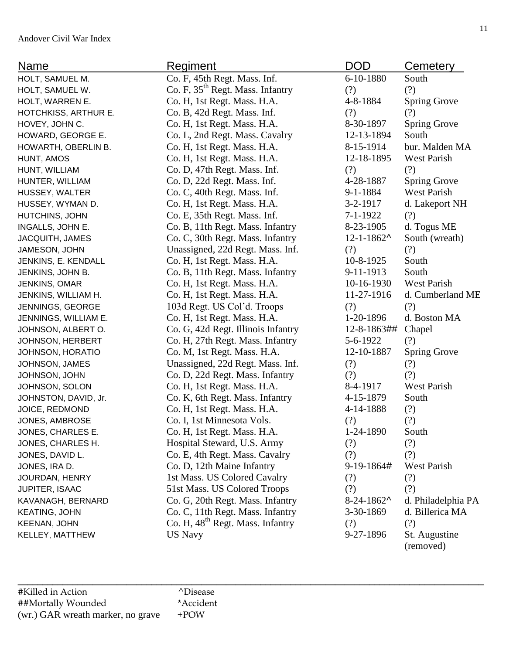|                                   |                                              |                 | <u>Cemetery</u>            |
|-----------------------------------|----------------------------------------------|-----------------|----------------------------|
| HOLT, SAMUEL M.                   | Co. F, 45th Regt. Mass. Inf.                 | 6-10-1880       | South                      |
| HOLT, SAMUEL W.                   | Co. F, 35 <sup>th</sup> Regt. Mass. Infantry | (?)             | (?)                        |
| HOLT, WARREN E.                   | Co. H, 1st Regt. Mass. H.A.                  | 4-8-1884        | <b>Spring Grove</b>        |
| HOTCHKISS, ARTHUR E.              | Co. B, 42d Regt. Mass. Inf.                  | (?)             | (?)                        |
| HOVEY, JOHN C.                    | Co. H, 1st Regt. Mass. H.A.                  | 8-30-1897       | <b>Spring Grove</b>        |
| HOWARD, GEORGE E.                 | Co. L, 2nd Regt. Mass. Cavalry               | 12-13-1894      | South                      |
| HOWARTH, OBERLIN B.               | Co. H, 1st Regt. Mass. H.A.                  | 8-15-1914       | bur. Malden MA             |
| HUNT, AMOS                        | Co. H, 1st Regt. Mass. H.A.                  | 12-18-1895      | <b>West Parish</b>         |
| HUNT, WILLIAM                     | Co. D, 47th Regt. Mass. Inf.                 | (?)             | (?)                        |
| HUNTER, WILLIAM                   | Co. D, 22d Regt. Mass. Inf.                  | 4-28-1887       | <b>Spring Grove</b>        |
| HUSSEY, WALTER                    | Co. C, 40th Regt. Mass. Inf.                 | $9 - 1 - 1884$  | <b>West Parish</b>         |
| HUSSEY, WYMAN D.                  | Co. H, 1st Regt. Mass. H.A.                  | 3-2-1917        | d. Lakeport NH             |
| HUTCHINS, JOHN                    | Co. E, 35th Regt. Mass. Inf.                 | 7-1-1922        | (?)                        |
| INGALLS, JOHN E.                  | Co. B, 11th Regt. Mass. Infantry             | 8-23-1905       | d. Togus ME                |
| <b>JACQUITH, JAMES</b>            | Co. C, 30th Regt. Mass. Infantry             | $12 - 1 - 1862$ | South (wreath)             |
| JAMESON, JOHN                     | Unassigned, 22d Regt. Mass. Inf.             | (?)             | (?)                        |
| JENKINS, E. KENDALL               | Co. H, 1st Regt. Mass. H.A.                  | 10-8-1925       | South                      |
| JENKINS, JOHN B.                  | Co. B, 11th Regt. Mass. Infantry             | 9-11-1913       | South                      |
| JENKINS, OMAR                     | Co. H, 1st Regt. Mass. H.A.                  | 10-16-1930      | <b>West Parish</b>         |
| JENKINS, WILLIAM H.               | Co. H, 1st Regt. Mass. H.A.                  | 11-27-1916      | d. Cumberland ME           |
| JENNINGS, GEORGE                  | 103d Regt. US Col'd. Troops                  | (?)             | (?)                        |
| JENNINGS, WILLIAM E.              | Co. H, 1st Regt. Mass. H.A.                  | 1-20-1896       | d. Boston MA               |
| JOHNSON, ALBERT O.                | Co. G, 42d Regt. Illinois Infantry           | 12-8-1863##     | Chapel                     |
| JOHNSON, HERBERT                  | Co. H, 27th Regt. Mass. Infantry             | 5-6-1922        | (?)                        |
| JOHNSON, HORATIO                  | Co. M, 1st Regt. Mass. H.A.                  | 12-10-1887      | <b>Spring Grove</b>        |
| JOHNSON, JAMES                    | Unassigned, 22d Regt. Mass. Inf.             | (?)             | (?)                        |
| JOHNSON, JOHN                     | Co. D, 22d Regt. Mass. Infantry              | (?)             | (?)                        |
| JOHNSON, SOLON                    | Co. H, 1st Regt. Mass. H.A.                  | 8-4-1917        | <b>West Parish</b>         |
| JOHNSTON, DAVID, Jr.              | Co. K, 6th Regt. Mass. Infantry              | 4-15-1879       | South                      |
| JOICE, REDMOND                    | Co. H, 1st Regt. Mass. H.A.                  | 4-14-1888       | (?)                        |
| JONES, AMBROSE                    | Co. I, 1st Minnesota Vols.                   | (?)             | (?)                        |
| JONES, CHARLES E.                 | Co. H, 1st Regt. Mass. H.A.                  | 1-24-1890       | South                      |
| JONES, CHARLES H.                 | Hospital Steward, U.S. Army                  | (?)             | (?)                        |
| JONES, DAVID L.                   | Co. E, 4th Regt. Mass. Cavalry               | (?)             | (?)                        |
| JONES, IRA D.                     | Co. D, 12th Maine Infantry                   | 9-19-1864#      | West Parish                |
| JOURDAN, HENRY                    | 1st Mass. US Colored Cavalry                 | (?)             | (?)                        |
| JUPITER, ISAAC                    | 51st Mass. US Colored Troops                 | (?)             | (?)                        |
| KAVANAGH, BERNARD                 | Co. G, 20th Regt. Mass. Infantry             | $8-24-1862$ ^   | d. Philadelphia PA         |
| <b>KEATING, JOHN</b>              | Co. C, 11th Regt. Mass. Infantry             | 3-30-1869       | d. Billerica MA            |
| <b>KEENAN, JOHN</b>               | Co. H, 48 <sup>th</sup> Regt. Mass. Infantry | (?)             | (?)                        |
| <b>US Navy</b><br>KELLEY, MATTHEW |                                              | 9-27-1896       | St. Augustine<br>(removed) |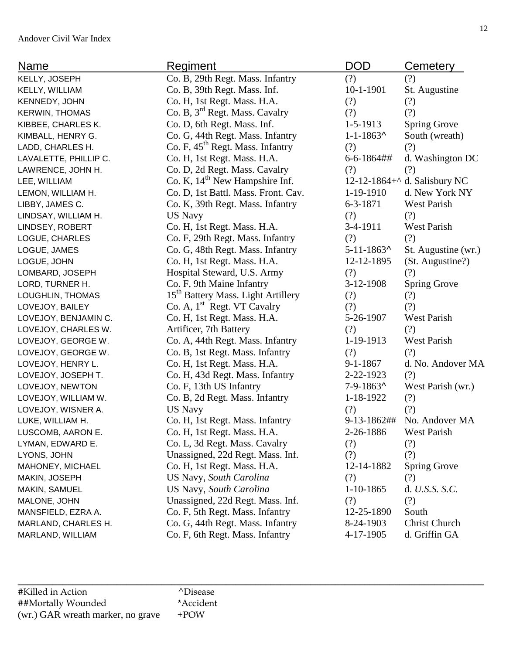| <b>Name</b>           | Regiment                                       | <b>DOD</b>        | <b>Cemetery</b>              |
|-----------------------|------------------------------------------------|-------------------|------------------------------|
| KELLY, JOSEPH         | Co. B, 29th Regt. Mass. Infantry               | (?)               | (?)                          |
| KELLY, WILLIAM        | Co. B, 39th Regt. Mass. Inf.                   | $10-1-1901$       | St. Augustine                |
| KENNEDY, JOHN         | Co. H, 1st Regt. Mass. H.A.                    | (?)               | (?)                          |
| <b>KERWIN, THOMAS</b> | Co. B, 3 <sup>rd</sup> Regt. Mass. Cavalry     | (?)               | (?)                          |
| KIBBEE, CHARLES K.    | Co. D, 6th Regt. Mass. Inf.                    | 1-5-1913          | <b>Spring Grove</b>          |
| KIMBALL, HENRY G.     | Co. G, 44th Regt. Mass. Infantry               | $1 - 1 - 1863$    | South (wreath)               |
| LADD, CHARLES H.      | Co. F, 45 <sup>th</sup> Regt. Mass. Infantry   | (?)               | (?)                          |
| LAVALETTE, PHILLIP C. | Co. H, 1st Regt. Mass. H.A.                    | $6 - 6 - 1864$ ## | d. Washington DC             |
| LAWRENCE, JOHN H.     | Co. D, 2d Regt. Mass. Cavalry                  | (?)               | (?)                          |
| LEE, WILLIAM          | Co. K, $14th$ New Hampshire Inf.               |                   | 12-12-1864+^ d. Salisbury NC |
| LEMON, WILLIAM H.     | Co. D, 1st Battl. Mass. Front. Cav.            | 1-19-1910         | d. New York NY               |
| LIBBY, JAMES C.       | Co. K, 39th Regt. Mass. Infantry               | $6 - 3 - 1871$    | <b>West Parish</b>           |
| LINDSAY, WILLIAM H.   | <b>US Navy</b>                                 | (?)               | (?)                          |
| LINDSEY, ROBERT       | Co. H, 1st Regt. Mass. H.A.                    | 3-4-1911          | <b>West Parish</b>           |
| LOGUE, CHARLES        | Co. F, 29th Regt. Mass. Infantry               | (?)               | (?)                          |
| LOGUE, JAMES          | Co. G, 48th Regt. Mass. Infantry               | $5 - 11 - 1863$   | St. Augustine (wr.)          |
| LOGUE, JOHN           | Co. H, 1st Regt. Mass. H.A.                    | 12-12-1895        | (St. Augustine?)             |
| LOMBARD, JOSEPH       | Hospital Steward, U.S. Army                    | (?)               | (?)                          |
| LORD, TURNER H.       | Co. F, 9th Maine Infantry                      | 3-12-1908         | <b>Spring Grove</b>          |
| LOUGHLIN, THOMAS      | 15 <sup>th</sup> Battery Mass. Light Artillery | (?)               | (?)                          |
| LOVEJOY, BAILEY       | Co. A, 1 <sup>st</sup> Regt. VT Cavalry        | (?)               | (?)                          |
| LOVEJOY, BENJAMIN C.  | Co. H, 1st Regt. Mass. H.A.                    | 5-26-1907         | <b>West Parish</b>           |
| LOVEJOY, CHARLES W.   | Artificer, 7th Battery                         | (?)               | (?)                          |
| LOVEJOY, GEORGE W.    | Co. A, 44th Regt. Mass. Infantry               | 1-19-1913         | <b>West Parish</b>           |
| LOVEJOY, GEORGE W.    | Co. B, 1st Regt. Mass. Infantry                | (?)               | (?)                          |
| LOVEJOY, HENRY L.     | Co. H, 1st Regt. Mass. H.A.                    | $9 - 1 - 1867$    | d. No. Andover MA            |
| LOVEJOY, JOSEPH T.    | Co. H, 43d Regt. Mass. Infantry                | 2-22-1923         | (?)                          |
| LOVEJOY, NEWTON       | Co. F, 13th US Infantry                        | $7-9-1863$ ^      | West Parish (wr.)            |
| LOVEJOY, WILLIAM W.   | Co. B, 2d Regt. Mass. Infantry                 | 1-18-1922         | (?)                          |
| LOVEJOY, WISNER A.    | <b>US Navy</b>                                 | (?)               | (?)                          |
| LUKE, WILLIAM H.      | Co. H, 1st Regt. Mass. Infantry                | 9-13-1862##       | No. Andover MA               |
| LUSCOMB, AARON E.     | Co. H, 1st Regt. Mass. H.A.                    | 2-26-1886         | <b>West Parish</b>           |
| LYMAN, EDWARD E.      | Co. L, 3d Regt. Mass. Cavalry                  | (?)               | (?)                          |
| LYONS, JOHN           | Unassigned, 22d Regt. Mass. Inf.               | (?)               | (?)                          |
| MAHONEY, MICHAEL      | Co. H, 1st Regt. Mass. H.A.                    | 12-14-1882        | <b>Spring Grove</b>          |
| MAKIN, JOSEPH         | US Navy, South Carolina                        | (?)               | (?)                          |
| MAKIN, SAMUEL         | <b>US Navy, South Carolina</b>                 | 1-10-1865         | d. U.S.S. S.C.               |
| MALONE, JOHN          | Unassigned, 22d Regt. Mass. Inf.               | (?)               | (?)                          |
| MANSFIELD, EZRA A.    | Co. F, 5th Regt. Mass. Infantry                | 12-25-1890        | South                        |
| MARLAND, CHARLES H.   | Co. G, 44th Regt. Mass. Infantry               | 8-24-1903         | Christ Church                |
| MARLAND, WILLIAM      | Co. F, 6th Regt. Mass. Infantry                | 4-17-1905         | d. Griffin GA                |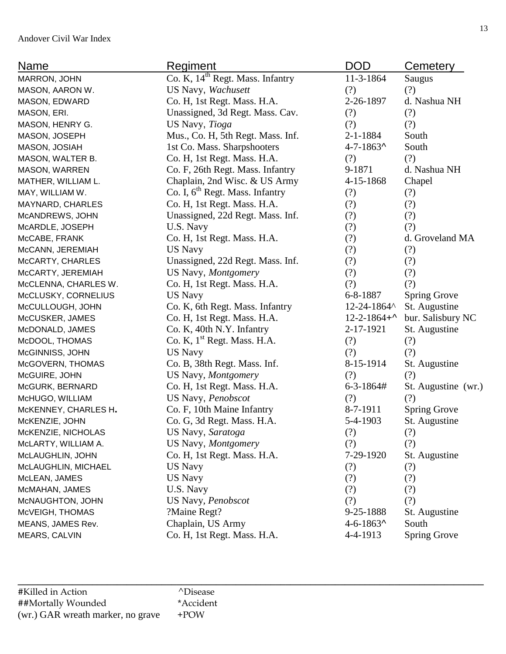| <b>Name</b>          | Regiment                                     | <b>DOD</b>          | <b>Cemetery</b>     |
|----------------------|----------------------------------------------|---------------------|---------------------|
| MARRON, JOHN         | Co. K, 14 <sup>th</sup> Regt. Mass. Infantry | 11-3-1864           | Saugus              |
| MASON, AARON W.      | US Navy, Wachusett                           | (?)                 | (?)                 |
| MASON, EDWARD        | Co. H, 1st Regt. Mass. H.A.                  | 2-26-1897           | d. Nashua NH        |
| MASON, ERI.          | Unassigned, 3d Regt. Mass. Cav.              | (?)                 | (?)                 |
| MASON, HENRY G.      | US Navy, Tioga                               | (?)                 | (?)                 |
| MASON, JOSEPH        | Mus., Co. H, 5th Regt. Mass. Inf.            | $2 - 1 - 1884$      | South               |
| MASON, JOSIAH        | 1st Co. Mass. Sharpshooters                  | $4 - 7 - 1863$      | South               |
| MASON, WALTER B.     | Co. H, 1st Regt. Mass. H.A.                  | (?)                 | (?)                 |
| MASON, WARREN        | Co. F, 26th Regt. Mass. Infantry             | 9-1871              | d. Nashua NH        |
| MATHER, WILLIAM L.   | Chaplain, 2nd Wisc. & US Army                | 4-15-1868           | Chapel              |
| MAY, WILLIAM W.      | Co. I, 6 <sup>th</sup> Regt. Mass. Infantry  | (?)                 | (?)                 |
| MAYNARD, CHARLES     | Co. H, 1st Regt. Mass. H.A.                  | (?)                 | (?)                 |
| McANDREWS, JOHN      | Unassigned, 22d Regt. Mass. Inf.             | (?)                 | (?)                 |
| McARDLE, JOSEPH      | U.S. Navy                                    | (?)                 | (?)                 |
| McCABE, FRANK        | Co. H, 1st Regt. Mass. H.A.                  | (?)                 | d. Groveland MA     |
| McCANN, JEREMIAH     | <b>US Navy</b>                               | (?)                 | (?)                 |
| McCARTY, CHARLES     | Unassigned, 22d Regt. Mass. Inf.             | (?)                 | (?)                 |
| McCARTY, JEREMIAH    | US Navy, Montgomery                          | (?)                 | (?)                 |
| McCLENNA, CHARLES W. | Co. H, 1st Regt. Mass. H.A.                  | (?)                 | (?)                 |
| McCLUSKY, CORNELIUS  | <b>US Navy</b>                               | 6-8-1887            | <b>Spring Grove</b> |
| McCULLOUGH, JOHN     | Co. K, 6th Regt. Mass. Infantry              | 12-24-1864^         | St. Augustine       |
| McCUSKER, JAMES      | Co. H, 1st Regt. Mass. H.A.                  | $12 - 2 - 1864 + 4$ | bur. Salisbury NC   |
| McDONALD, JAMES      | Co. K, 40th N.Y. Infantry                    | 2-17-1921           | St. Augustine       |
| McDOOL, THOMAS       | Co. K, 1 <sup>st</sup> Regt. Mass. H.A.      | (?)                 | (?)                 |
| McGINNISS, JOHN      | <b>US Navy</b>                               | (?)                 | (?)                 |
| McGOVERN, THOMAS     | Co. B, 38th Regt. Mass. Inf.                 | 8-15-1914           | St. Augustine       |
| McGUIRE, JOHN        | US Navy, Montgomery                          | (?)                 | (?)                 |
| McGURK, BERNARD      | Co. H, 1st Regt. Mass. H.A.                  | 6-3-1864#           | St. Augustine (wr.) |
| McHUGO, WILLIAM      | US Navy, Penobscot                           | (?)                 | (?)                 |
| McKENNEY, CHARLES H. | Co. F, 10th Maine Infantry                   | 8-7-1911            | <b>Spring Grove</b> |
| McKENZIE, JOHN       | Co. G, 3d Regt. Mass. H.A.                   | 5-4-1903            | St. Augustine       |
| McKENZIE, NICHOLAS   | US Navy, Saratoga                            | (?)                 | (?)                 |
| McLARTY, WILLIAM A.  | US Navy, Montgomery                          | (?)                 | (?)                 |
| McLAUGHLIN, JOHN     | Co. H, 1st Regt. Mass. H.A.                  | 7-29-1920           | St. Augustine       |
| McLAUGHLIN, MICHAEL  | <b>US Navy</b>                               | (?)                 | (?)                 |
| McLEAN, JAMES        | <b>US Navy</b>                               | (?)                 | (?)                 |
| McMAHAN, JAMES       | U.S. Navy                                    | (?)                 | (?)                 |
| McNAUGHTON, JOHN     | US Navy, Penobscot                           | (?)                 | (?)                 |
| McVEIGH, THOMAS      | ?Maine Regt?                                 | 9-25-1888           | St. Augustine       |
| MEANS, JAMES Rev.    | Chaplain, US Army                            | $4 - 6 - 1863$      | South               |
| <b>MEARS, CALVIN</b> | Co. H, 1st Regt. Mass. H.A.                  | 4-4-1913            | <b>Spring Grove</b> |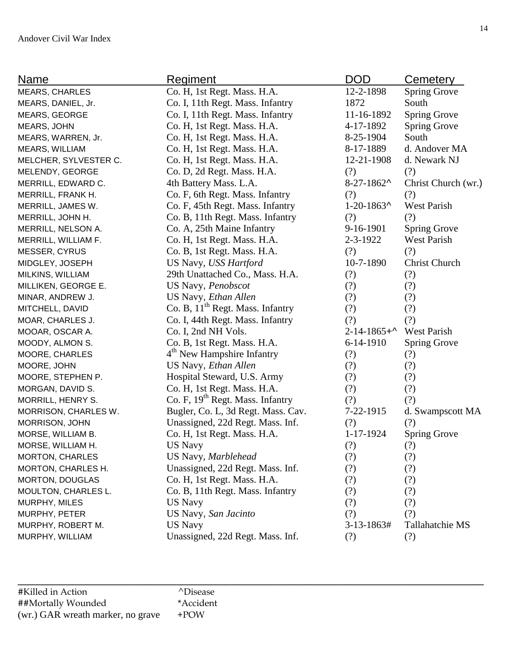| Name                   | <b>Regiment</b>                              | <b>DOD</b>          | Cemetery             |
|------------------------|----------------------------------------------|---------------------|----------------------|
| <b>MEARS, CHARLES</b>  | Co. H, 1st Regt. Mass. H.A.                  | 12-2-1898           | <b>Spring Grove</b>  |
| MEARS, DANIEL, Jr.     | Co. I, 11th Regt. Mass. Infantry             | 1872                | South                |
| MEARS, GEORGE          | Co. I, 11th Regt. Mass. Infantry             | 11-16-1892          | <b>Spring Grove</b>  |
| MEARS, JOHN            | Co. H, 1st Regt. Mass. H.A.                  | 4-17-1892           | <b>Spring Grove</b>  |
| MEARS, WARREN, Jr.     | Co. H, 1st Regt. Mass. H.A.                  | 8-25-1904           | South                |
| MEARS, WILLIAM         | Co. H, 1st Regt. Mass. H.A.                  | 8-17-1889           | d. Andover MA        |
| MELCHER, SYLVESTER C.  | Co. H, 1st Regt. Mass. H.A.                  | 12-21-1908          | d. Newark NJ         |
| MELENDY, GEORGE        | Co. D, 2d Regt. Mass. H.A.                   | (?)                 | (?)                  |
| MERRILL, EDWARD C.     | 4th Battery Mass. L.A.                       | $8-27-1862$ ^       | Christ Church (wr.)  |
| MERRILL, FRANK H.      | Co. F, 6th Regt. Mass. Infantry              | (?)                 | (?)                  |
| MERRILL, JAMES W.      | Co. F, 45th Regt. Mass. Infantry             | $1-20-1863$ ^       | <b>West Parish</b>   |
| MERRILL, JOHN H.       | Co. B, 11th Regt. Mass. Infantry             | (?)                 | (?)                  |
| MERRILL, NELSON A.     | Co. A, 25th Maine Infantry                   | 9-16-1901           | <b>Spring Grove</b>  |
| MERRILL, WILLIAM F.    | Co. H, 1st Regt. Mass. H.A.                  | 2-3-1922            | West Parish          |
| MESSER, CYRUS          | Co. B, 1st Regt. Mass. H.A.                  | (?)                 | (?)                  |
| MIDGLEY, JOSEPH        | US Navy, USS Hartford                        | 10-7-1890           | <b>Christ Church</b> |
| MILKINS, WILLIAM       | 29th Unattached Co., Mass. H.A.              | (?)                 | (?)                  |
| MILLIKEN, GEORGE E.    | US Navy, Penobscot                           | (?)                 | (?)                  |
| MINAR, ANDREW J.       | US Navy, Ethan Allen                         | (?)                 | (?)                  |
| MITCHELL, DAVID        | Co. B, 11 <sup>th</sup> Regt. Mass. Infantry | (?)                 | (?)                  |
| MOAR, CHARLES J.       | Co. I, 44th Regt. Mass. Infantry             | (?)                 | (?)                  |
| MOOAR, OSCAR A.        | Co. I, 2nd NH Vols.                          | $2 - 14 - 1865 + 1$ | West Parish          |
| MOODY, ALMON S.        | Co. B, 1st Regt. Mass. H.A.                  | $6-14-1910$         | <b>Spring Grove</b>  |
| MOORE, CHARLES         | 4 <sup>th</sup> New Hampshire Infantry       | (?)                 | (?)                  |
| MOORE, JOHN            | US Navy, Ethan Allen                         | (?)                 | (?)                  |
| MOORE, STEPHEN P.      | Hospital Steward, U.S. Army                  | (?)                 | (?)                  |
| MORGAN, DAVID S.       | Co. H, 1st Regt. Mass. H.A.                  | (?)                 | (?)                  |
| MORRILL, HENRY S.      | Co. F, 19 <sup>th</sup> Regt. Mass. Infantry | (?)                 | (?)                  |
| MORRISON, CHARLES W.   | Bugler, Co. L, 3d Regt. Mass. Cav.           | 7-22-1915           | d. Swampscott MA     |
| MORRISON, JOHN         | Unassigned, 22d Regt. Mass. Inf.             | (?)                 | (?)                  |
| MORSE, WILLIAM B.      | Co. H, 1st Regt. Mass. H.A.                  | 1-17-1924           | <b>Spring Grove</b>  |
| MORSE, WILLIAM H.      | US Navy                                      | (?)                 | (?)                  |
| <b>MORTON, CHARLES</b> | US Navy, Marblehead                          | (?)                 | (?)                  |
| MORTON, CHARLES H.     | Unassigned, 22d Regt. Mass. Inf.             | (?)                 | (?)                  |
| <b>MORTON, DOUGLAS</b> | Co. H, 1st Regt. Mass. H.A.                  | (?)                 | (?)                  |
| MOULTON, CHARLES L.    | Co. B, 11th Regt. Mass. Infantry             | (?)                 | (?)                  |
| MURPHY, MILES          | <b>US Navy</b>                               | (?)                 | (?)                  |
| MURPHY, PETER          | US Navy, San Jacinto                         | (?)                 | (?)                  |
| MURPHY, ROBERT M.      | <b>US Navy</b>                               | $3-13-1863#$        | Tallahatchie MS      |
| MURPHY, WILLIAM        | Unassigned, 22d Regt. Mass. Inf.             | (?)                 | (?)                  |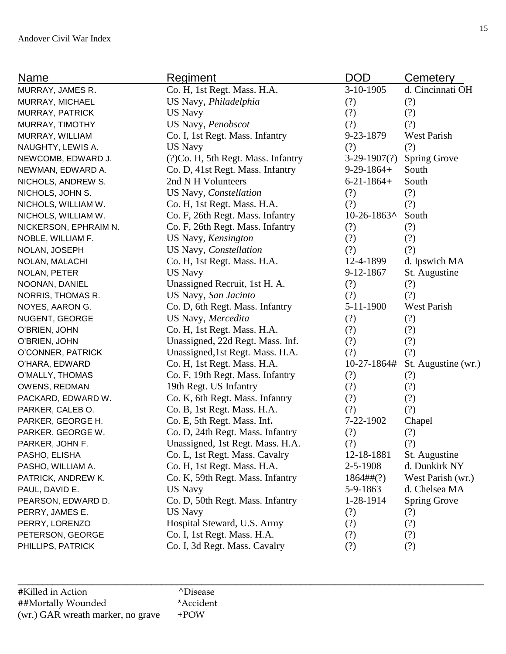| <b>Name</b>           | Regiment                            | <b>DOD</b>        | <b>Cemetery</b>     |
|-----------------------|-------------------------------------|-------------------|---------------------|
| MURRAY, JAMES R.      | Co. H, 1st Regt. Mass. H.A.         | 3-10-1905         | d. Cincinnati OH    |
| MURRAY, MICHAEL       | US Navy, Philadelphia               | (?)               | (?)                 |
| MURRAY, PATRICK       | US Navy                             | (?)               | (?)                 |
| MURRAY, TIMOTHY       | US Navy, Penobscot                  | (?)               | (?)                 |
| MURRAY, WILLIAM       | Co. I, 1st Regt. Mass. Infantry     | 9-23-1879         | West Parish         |
| NAUGHTY, LEWIS A.     | <b>US Navy</b>                      | (?)               | (?)                 |
| NEWCOMB, EDWARD J.    | (?) Co. H, 5th Regt. Mass. Infantry | $3-29-1907(?)$    | <b>Spring Grove</b> |
| NEWMAN, EDWARD A.     | Co. D, 41st Regt. Mass. Infantry    | $9-29-1864+$      | South               |
| NICHOLS, ANDREW S.    | 2nd N H Volunteers                  | $6 - 21 - 1864 +$ | South               |
| NICHOLS, JOHN S.      | US Navy, Constellation              | (?)               | (?)                 |
| NICHOLS, WILLIAM W.   | Co. H, 1st Regt. Mass. H.A.         | (?)               | (?)                 |
| NICHOLS, WILLIAM W.   | Co. F, 26th Regt. Mass. Infantry    | $10-26-1863$ ^    | South               |
| NICKERSON, EPHRAIM N. | Co. F, 26th Regt. Mass. Infantry    | (?)               | (?)                 |
| NOBLE, WILLIAM F.     | US Navy, Kensington                 | (?)               | (?)                 |
| NOLAN, JOSEPH         | US Navy, Constellation              | (?)               | (?)                 |
| NOLAN, MALACHI        | Co. H, 1st Regt. Mass. H.A.         | 12-4-1899         | d. Ipswich MA       |
| NOLAN, PETER          | <b>US Navy</b>                      | 9-12-1867         | St. Augustine       |
| NOONAN, DANIEL        | Unassigned Recruit, 1st H. A.       | (?)               | (?)                 |
| NORRIS, THOMAS R.     | US Navy, San Jacinto                | (?)               | (?)                 |
| NOYES, AARON G.       | Co. D, 6th Regt. Mass. Infantry     | $5-11-1900$       | <b>West Parish</b>  |
| NUGENT, GEORGE        | US Navy, Mercedita                  | (?)               | (?)                 |
| O'BRIEN, JOHN         | Co. H, 1st Regt. Mass. H.A.         | (?)               | (?)                 |
| O'BRIEN, JOHN         | Unassigned, 22d Regt. Mass. Inf.    | (?)               | (?)                 |
| O'CONNER, PATRICK     | Unassigned, 1st Regt. Mass. H.A.    | (?)               | (?)                 |
| O'HARA, EDWARD        | Co. H, 1st Regt. Mass. H.A.         | 10-27-1864#       | St. Augustine (wr.) |
| O'MALLY, THOMAS       | Co. F, 19th Regt. Mass. Infantry    | (?)               | (?)                 |
| OWENS, REDMAN         | 19th Regt. US Infantry              | (?)               | (?)                 |
| PACKARD, EDWARD W.    | Co. K, 6th Regt. Mass. Infantry     | (?)               | (?)                 |
| PARKER, CALEB O.      | Co. B, 1st Regt. Mass. H.A.         | (?)               | (?)                 |
| PARKER, GEORGE H.     | Co. E, 5th Regt. Mass. Inf.         | 7-22-1902         | Chapel              |
| PARKER, GEORGE W.     | Co. D, 24th Regt. Mass. Infantry    | (?)               | (?)                 |
| PARKER, JOHN F.       | Unassigned, 1st Regt. Mass. H.A.    | (?)               | (?)                 |
| PASHO, ELISHA         | Co. L, 1st Regt. Mass. Cavalry      | 12-18-1881        | St. Augustine       |
| PASHO, WILLIAM A.     | Co. H, 1st Regt. Mass. H.A.         | $2 - 5 - 1908$    | d. Dunkirk NY       |
| PATRICK, ANDREW K.    | Co. K, 59th Regt. Mass. Infantry    | $1864\#$ # $(?)$  | West Parish (wr.)   |
| PAUL, DAVID E.        | <b>US Navy</b>                      | 5-9-1863          | d. Chelsea MA       |
| PEARSON, EDWARD D.    | Co. D, 50th Regt. Mass. Infantry    | 1-28-1914         | <b>Spring Grove</b> |
| PERRY, JAMES E.       | US Navy                             | (?)               | (?)                 |
| PERRY, LORENZO        | Hospital Steward, U.S. Army         | (?)               | (?)                 |
| PETERSON, GEORGE      | Co. I, 1st Regt. Mass. H.A.         | (?)               | (?)                 |
| PHILLIPS, PATRICK     | Co. I, 3d Regt. Mass. Cavalry       | (?)               | (?)                 |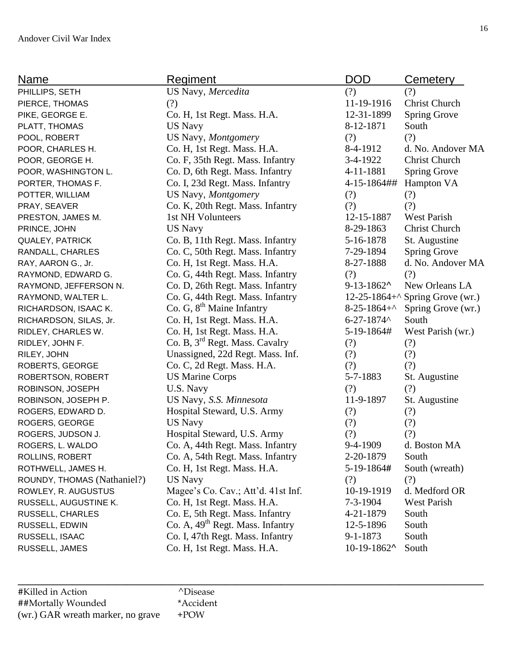| Name                        | Regiment                                     | <b>DOD</b>           | Cemetery                               |
|-----------------------------|----------------------------------------------|----------------------|----------------------------------------|
| PHILLIPS, SETH              | US Navy, Mercedita                           | (?)                  | (?)                                    |
| PIERCE, THOMAS              | (?)                                          | 11-19-1916           | Christ Church                          |
| PIKE, GEORGE E.             | Co. H, 1st Regt. Mass. H.A.                  | 12-31-1899           | <b>Spring Grove</b>                    |
| PLATT, THOMAS               | <b>US Navy</b>                               | 8-12-1871            | South                                  |
| POOL, ROBERT                | US Navy, Montgomery                          | (?)                  | (?)                                    |
| POOR, CHARLES H.            | Co. H, 1st Regt. Mass. H.A.                  | 8-4-1912             | d. No. Andover MA                      |
| POOR, GEORGE H.             | Co. F, 35th Regt. Mass. Infantry             | $3-4-1922$           | <b>Christ Church</b>                   |
| POOR, WASHINGTON L.         | Co. D, 6th Regt. Mass. Infantry              | 4-11-1881            | <b>Spring Grove</b>                    |
| PORTER, THOMAS F.           | Co. I, 23d Regt. Mass. Infantry              | 4-15-1864##          | Hampton VA                             |
| POTTER, WILLIAM             | US Navy, Montgomery                          | (?)                  | (?)                                    |
| PRAY, SEAVER                | Co. K, 20th Regt. Mass. Infantry             | (?)                  | (?)                                    |
| PRESTON, JAMES M.           | 1st NH Volunteers                            | 12-15-1887           | <b>West Parish</b>                     |
| PRINCE, JOHN                | <b>US Navy</b>                               | 8-29-1863            | <b>Christ Church</b>                   |
| <b>QUALEY, PATRICK</b>      | Co. B, 11th Regt. Mass. Infantry             | 5-16-1878            | St. Augustine                          |
| RANDALL, CHARLES            | Co. C, 50th Regt. Mass. Infantry             | 7-29-1894            | <b>Spring Grove</b>                    |
| RAY, AARON G., Jr.          | Co. H, 1st Regt. Mass. H.A.                  | 8-27-1888            | d. No. Andover MA                      |
| RAYMOND, EDWARD G.          | Co. G, 44th Regt. Mass. Infantry             | (?)                  | (?)                                    |
| RAYMOND, JEFFERSON N.       | Co. D, 26th Regt. Mass. Infantry             | $9 - 13 - 1862$      | New Orleans LA                         |
| RAYMOND, WALTER L.          | Co. G, 44th Regt. Mass. Infantry             |                      | 12-25-1864+ $\land$ Spring Grove (wr.) |
| RICHARDSON, ISAAC K.        | Co. G, 8 <sup>th</sup> Maine Infantry        | $8-25-1864+^{\circ}$ | Spring Grove (wr.)                     |
| RICHARDSON, SILAS, Jr.      | Co. H, 1st Regt. Mass. H.A.                  | $6 - 27 - 1874$      | South                                  |
| RIDLEY, CHARLES W.          | Co. H, 1st Regt. Mass. H.A.                  | 5-19-1864#           | West Parish (wr.)                      |
| RIDLEY, JOHN F.             | Co. B, 3 <sup>rd</sup> Regt. Mass. Cavalry   | (?)                  | (?)                                    |
| RILEY, JOHN                 | Unassigned, 22d Regt. Mass. Inf.             | (?)                  | (?)                                    |
| ROBERTS, GEORGE             | Co. C, 2d Regt. Mass. H.A.                   | (?)                  | (?)                                    |
| ROBERTSON, ROBERT           | <b>US Marine Corps</b>                       | 5-7-1883             | St. Augustine                          |
| ROBINSON, JOSEPH            | U.S. Navy                                    | (?)                  | (?)                                    |
| ROBINSON, JOSEPH P.         | US Navy, S.S. Minnesota                      | 11-9-1897            | St. Augustine                          |
| ROGERS, EDWARD D.           | Hospital Steward, U.S. Army                  | (?)                  | (?)                                    |
| ROGERS, GEORGE              | <b>US Navy</b>                               | (?)                  | (?)                                    |
| ROGERS, JUDSON J.           | Hospital Steward, U.S. Army                  | (?)                  | (?)                                    |
| ROGERS, L. WALDO            | Co. A, 44th Regt. Mass. Infantry             | 9-4-1909             | d. Boston MA                           |
| ROLLINS, ROBERT             | Co. A, 54th Regt. Mass. Infantry             | 2-20-1879            | South                                  |
| ROTHWELL, JAMES H.          | Co. H, 1st Regt. Mass. H.A.                  | 5-19-1864#           | South (wreath)                         |
| ROUNDY, THOMAS (Nathaniel?) | <b>US Navy</b>                               | (?)                  | (?)                                    |
| ROWLEY, R. AUGUSTUS         | Magee's Co. Cav.; Att'd. 41st Inf.           | 10-19-1919           | d. Medford OR                          |
| RUSSELL, AUGUSTINE K.       | Co. H, 1st Regt. Mass. H.A.                  | $7 - 3 - 1904$       | <b>West Parish</b>                     |
| RUSSELL, CHARLES            | Co. E, 5th Regt. Mass. Infantry              | 4-21-1879            | South                                  |
| RUSSELL, EDWIN              | Co. A, 49 <sup>th</sup> Regt. Mass. Infantry | 12-5-1896            | South                                  |
| RUSSELL, ISAAC              | Co. I, 47th Regt. Mass. Infantry             | $9 - 1 - 1873$       | South                                  |
| RUSSELL, JAMES              | Co. H, 1st Regt. Mass. H.A.                  | $10-19-1862$ ^       | South                                  |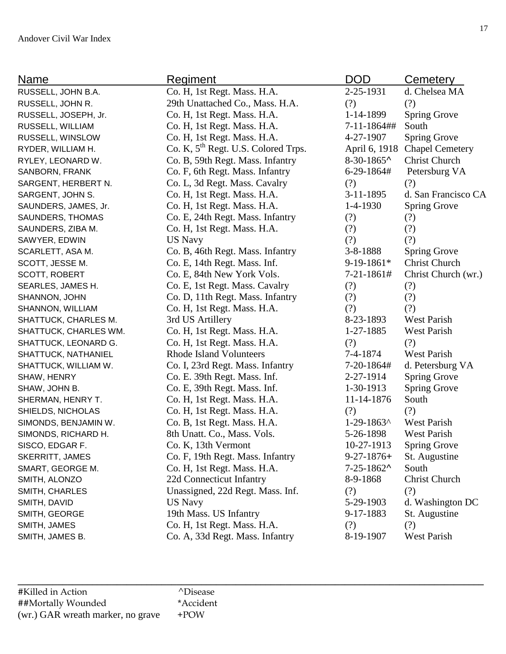| Name                   | Regiment                                        | <b>DOD</b>        | Cemetery               |
|------------------------|-------------------------------------------------|-------------------|------------------------|
| RUSSELL, JOHN B.A.     | Co. H, 1st Regt. Mass. H.A.                     | 2-25-1931         | d. Chelsea MA          |
| RUSSELL, JOHN R.       | 29th Unattached Co., Mass. H.A.                 | (?)               | (?)                    |
| RUSSELL, JOSEPH, Jr.   | Co. H, 1st Regt. Mass. H.A.                     | 1-14-1899         | <b>Spring Grove</b>    |
| RUSSELL, WILLIAM       | Co. H, 1st Regt. Mass. H.A.                     | 7-11-1864##       | South                  |
| RUSSELL, WINSLOW       | Co. H, 1st Regt. Mass. H.A.                     | 4-27-1907         | <b>Spring Grove</b>    |
| RYDER, WILLIAM H.      | Co. K, 5 <sup>th</sup> Regt. U.S. Colored Trps. | April 6, 1918     | <b>Chapel Cemetery</b> |
| RYLEY, LEONARD W.      | Co. B, 59th Regt. Mass. Infantry                | $8-30-1865$       | <b>Christ Church</b>   |
| SANBORN, FRANK         | Co. F, 6th Regt. Mass. Infantry                 | 6-29-1864#        | Petersburg VA          |
| SARGENT, HERBERT N.    | Co. L, 3d Regt. Mass. Cavalry                   | (?)               | (?)                    |
| SARGENT, JOHN S.       | Co. H, 1st Regt. Mass. H.A.                     | 3-11-1895         | d. San Francisco CA    |
| SAUNDERS, JAMES, Jr.   | Co. H, 1st Regt. Mass. H.A.                     | $1-4-1930$        | <b>Spring Grove</b>    |
| SAUNDERS, THOMAS       | Co. E, 24th Regt. Mass. Infantry                | (?)               | (?)                    |
| SAUNDERS, ZIBA M.      | Co. H, 1st Regt. Mass. H.A.                     | (?)               | (?)                    |
| SAWYER, EDWIN          | <b>US Navy</b>                                  | (?)               | (?)                    |
| SCARLETT, ASA M.       | Co. B, 46th Regt. Mass. Infantry                | $3 - 8 - 1888$    | <b>Spring Grove</b>    |
| SCOTT, JESSE M.        | Co. E, 14th Regt. Mass. Inf.                    | $9-19-1861*$      | <b>Christ Church</b>   |
| SCOTT, ROBERT          | Co. E, 84th New York Vols.                      | 7-21-1861#        | Christ Church (wr.)    |
| SEARLES, JAMES H.      | Co. E, 1st Regt. Mass. Cavalry                  | (?)               | (?)                    |
| SHANNON, JOHN          | Co. D, 11th Regt. Mass. Infantry                | (?)               | (?)                    |
| SHANNON, WILLIAM       | Co. H, 1st Regt. Mass. H.A.                     | (?)               | (?)                    |
| SHATTUCK, CHARLES M.   | 3rd US Artillery                                | 8-23-1893         | West Parish            |
| SHATTUCK, CHARLES WM.  | Co. H, 1st Regt. Mass. H.A.                     | 1-27-1885         | West Parish            |
| SHATTUCK, LEONARD G.   | Co. H, 1st Regt. Mass. H.A.                     | (?)               | (?)                    |
| SHATTUCK, NATHANIEL    | <b>Rhode Island Volunteers</b>                  | 7-4-1874          | <b>West Parish</b>     |
| SHATTUCK, WILLIAM W.   | Co. I, 23rd Regt. Mass. Infantry                | $7-20-1864#$      | d. Petersburg VA       |
| SHAW, HENRY            | Co. E. 39th Regt. Mass. Inf.                    | 2-27-1914         | <b>Spring Grove</b>    |
| SHAW, JOHN B.          | Co. E, 39th Regt. Mass. Inf.                    | 1-30-1913         | <b>Spring Grove</b>    |
| SHERMAN, HENRY T.      | Co. H, 1st Regt. Mass. H.A.                     | 11-14-1876        | South                  |
| SHIELDS, NICHOLAS      | Co. H, 1st Regt. Mass. H.A.                     | (?)               | (?)                    |
| SIMONDS, BENJAMIN W.   | Co. B, 1st Regt. Mass. H.A.                     | $1-29-1863$       | <b>West Parish</b>     |
| SIMONDS, RICHARD H.    | 8th Unatt. Co., Mass. Vols.                     | 5-26-1898         | West Parish            |
| SISCO, EDGAR F.        | Co. K, 13th Vermont                             | 10-27-1913        | <b>Spring Grove</b>    |
| <b>SKERRITT, JAMES</b> | Co. F, 19th Regt. Mass. Infantry                | $9 - 27 - 1876 +$ | St. Augustine          |
| SMART, GEORGE M.       | Co. H, 1st Regt. Mass. H.A.                     | $7 - 25 - 1862$   | South                  |
| SMITH, ALONZO          | 22d Connecticut Infantry                        | 8-9-1868          | Christ Church          |
| SMITH, CHARLES         | Unassigned, 22d Regt. Mass. Inf.                | (?)               | (?)                    |
| SMITH, DAVID           | <b>US Navy</b>                                  | 5-29-1903         | d. Washington DC       |
| SMITH, GEORGE          | 19th Mass. US Infantry                          | 9-17-1883         | St. Augustine          |
| SMITH, JAMES           | Co. H, 1st Regt. Mass. H.A.                     | (?)               | (?)                    |
| SMITH, JAMES B.        | Co. A, 33d Regt. Mass. Infantry                 | 8-19-1907         | West Parish            |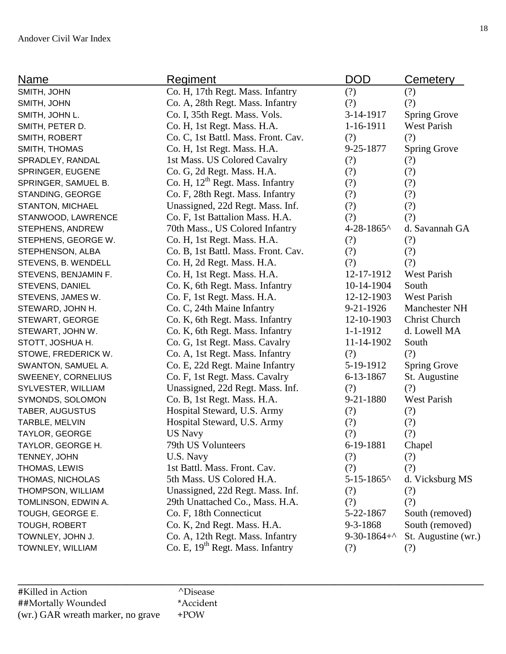| Name                   | <b>Regiment</b>                              | <b>DOD</b>           | <b>Cemetery</b>      |
|------------------------|----------------------------------------------|----------------------|----------------------|
| SMITH, JOHN            | Co. H, 17th Regt. Mass. Infantry             | (?)                  | (?)                  |
| SMITH, JOHN            | Co. A, 28th Regt. Mass. Infantry             | (?)                  | (?)                  |
| SMITH, JOHN L.         | Co. I, 35th Regt. Mass. Vols.                | 3-14-1917            | <b>Spring Grove</b>  |
| SMITH, PETER D.        | Co. H, 1st Regt. Mass. H.A.                  | $1 - 16 - 1911$      | <b>West Parish</b>   |
| SMITH, ROBERT          | Co. C, 1st Battl. Mass. Front. Cav.          | (?)                  | (?)                  |
| SMITH, THOMAS          | Co. H, 1st Regt. Mass. H.A.                  | 9-25-1877            | <b>Spring Grove</b>  |
| SPRADLEY, RANDAL       | 1st Mass. US Colored Cavalry                 | (?)                  | (?)                  |
| SPRINGER, EUGENE       | Co. G, 2d Regt. Mass. H.A.                   | (?)                  | (?)                  |
| SPRINGER, SAMUEL B.    | Co. H, 12 <sup>th</sup> Regt. Mass. Infantry | (?)                  | (?)                  |
| STANDING, GEORGE       | Co. F, 28th Regt. Mass. Infantry             | (?)                  | (?)                  |
| STANTON, MICHAEL       | Unassigned, 22d Regt. Mass. Inf.             | (?)                  | (?)                  |
| STANWOOD, LAWRENCE     | Co. F, 1st Battalion Mass. H.A.              | (?)                  | (?)                  |
| STEPHENS, ANDREW       | 70th Mass., US Colored Infantry              | 4-28-1865^           | d. Savannah GA       |
| STEPHENS, GEORGE W.    | Co. H, 1st Regt. Mass. H.A.                  | (?)                  | (?)                  |
| STEPHENSON, ALBA       | Co. B, 1st Battl. Mass. Front. Cav.          | (?)                  | (?)                  |
| STEVENS, B. WENDELL    | Co. H, 2d Regt. Mass. H.A.                   | (?)                  | (?)                  |
| STEVENS, BENJAMIN F.   | Co. H, 1st Regt. Mass. H.A.                  | 12-17-1912           | <b>West Parish</b>   |
| STEVENS, DANIEL        | Co. K, 6th Regt. Mass. Infantry              | 10-14-1904           | South                |
| STEVENS, JAMES W.      | Co. F, 1st Regt. Mass. H.A.                  | 12-12-1903           | <b>West Parish</b>   |
| STEWARD, JOHN H.       | Co. C, 24th Maine Infantry                   | $9 - 21 - 1926$      | <b>Manchester NH</b> |
| STEWART, GEORGE        | Co. K, 6th Regt. Mass. Infantry              | 12-10-1903           | <b>Christ Church</b> |
| STEWART, JOHN W.       | Co. K, 6th Regt. Mass. Infantry              | 1-1-1912             | d. Lowell MA         |
| STOTT, JOSHUA H.       | Co. G, 1st Regt. Mass. Cavalry               | 11-14-1902           | South                |
| STOWE, FREDERICK W.    | Co. A, 1st Regt. Mass. Infantry              | (?)                  | (?)                  |
| SWANTON, SAMUEL A.     | Co. E, 22d Regt. Maine Infantry              | 5-19-1912            | <b>Spring Grove</b>  |
| SWEENEY, CORNELIUS     | Co. F, 1st Regt. Mass. Cavalry               | 6-13-1867            | St. Augustine        |
| SYLVESTER, WILLIAM     | Unassigned, 22d Regt. Mass. Inf.             | (?)                  | (?)                  |
| SYMONDS, SOLOMON       | Co. B, 1st Regt. Mass. H.A.                  | 9-21-1880            | <b>West Parish</b>   |
| <b>TABER, AUGUSTUS</b> | Hospital Steward, U.S. Army                  | (?)                  | (?)                  |
| TARBLE, MELVIN         | Hospital Steward, U.S. Army                  | (?)                  | (?)                  |
| TAYLOR, GEORGE         | <b>US Navy</b>                               | (?)                  | (?)                  |
| TAYLOR, GEORGE H.      | 79th US Volunteers                           | 6-19-1881            | Chapel               |
| TENNEY, JOHN           | U.S. Navy                                    | (?)                  | (?)                  |
| THOMAS, LEWIS          | 1st Battl. Mass. Front. Cav.                 | (?)                  | (?)                  |
| THOMAS, NICHOLAS       | 5th Mass. US Colored H.A.                    | 5-15-1865^           | d. Vicksburg MS      |
| THOMPSON, WILLIAM      | Unassigned, 22d Regt. Mass. Inf.             | (?)                  | (?)                  |
| TOMLINSON, EDWIN A.    | 29th Unattached Co., Mass. H.A.              | (?)                  | (?)                  |
| TOUGH, GEORGE E.       | Co. F, 18th Connecticut                      | 5-22-1867            | South (removed)      |
| TOUGH, ROBERT          | Co. K, 2nd Regt. Mass. H.A.                  | 9-3-1868             | South (removed)      |
| TOWNLEY, JOHN J.       | Co. A, 12th Regt. Mass. Infantry             | $9-30-1864+^{\circ}$ | St. Augustine (wr.)  |
| TOWNLEY, WILLIAM       | Co. E, 19 <sup>th</sup> Regt. Mass. Infantry | (?)                  | (?)                  |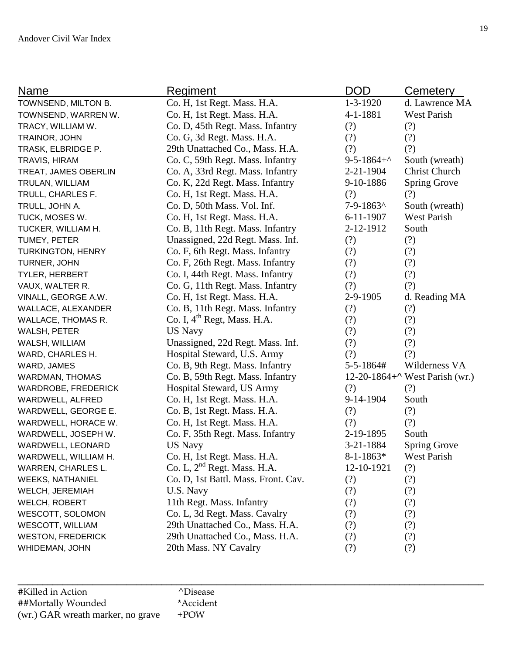| Name                       | Regiment                            | DOD                        | Cemetery                       |
|----------------------------|-------------------------------------|----------------------------|--------------------------------|
| TOWNSEND, MILTON B.        | Co. H, 1st Regt. Mass. H.A.         | $1 - 3 - 1920$             | d. Lawrence MA                 |
| TOWNSEND, WARREN W.        | Co. H, 1st Regt. Mass. H.A.         | 4-1-1881                   | <b>West Parish</b>             |
| TRACY, WILLIAM W.          | Co. D, 45th Regt. Mass. Infantry    | (?)                        | (?)                            |
| TRAINOR, JOHN              | Co. G, 3d Regt. Mass. H.A.          | (?)                        | (?)                            |
| TRASK, ELBRIDGE P.         | 29th Unattached Co., Mass. H.A.     | (?)                        | (?)                            |
| TRAVIS, HIRAM              | Co. C, 59th Regt. Mass. Infantry    | $9 - 5 - 1864 + ^{\wedge}$ | South (wreath)                 |
| TREAT, JAMES OBERLIN       | Co. A, 33rd Regt. Mass. Infantry    | $2 - 21 - 1904$            | <b>Christ Church</b>           |
| TRULAN, WILLIAM            | Co. K, 22d Regt. Mass. Infantry     | 9-10-1886                  | <b>Spring Grove</b>            |
| TRULL, CHARLES F.          | Co. H, 1st Regt. Mass. H.A.         | (?)                        | (?)                            |
| TRULL, JOHN A.             | Co. D, 50th Mass. Vol. Inf.         | 7-9-1863^                  | South (wreath)                 |
| TUCK, MOSES W.             | Co. H, 1st Regt. Mass. H.A.         | $6 - 11 - 1907$            | <b>West Parish</b>             |
| TUCKER, WILLIAM H.         | Co. B, 11th Regt. Mass. Infantry    | 2-12-1912                  | South                          |
| TUMEY, PETER               | Unassigned, 22d Regt. Mass. Inf.    | (?)                        | (?)                            |
| <b>TURKINGTON, HENRY</b>   | Co. F, 6th Regt. Mass. Infantry     | (?)                        | (?)                            |
| TURNER, JOHN               | Co. F, 26th Regt. Mass. Infantry    | (?)                        | (?)                            |
| <b>TYLER, HERBERT</b>      | Co. I, 44th Regt. Mass. Infantry    | (?)                        | (?)                            |
| VAUX, WALTER R.            | Co. G, 11th Regt. Mass. Infantry    | (?)                        | (?)                            |
| VINALL, GEORGE A.W.        | Co. H, 1st Regt. Mass. H.A.         | 2-9-1905                   | d. Reading MA                  |
| WALLACE, ALEXANDER         | Co. B, 11th Regt. Mass. Infantry    | (?)                        | (?)                            |
| WALLACE, THOMAS R.         | Co. I, $4th$ Regt, Mass. H.A.       | (?)                        | (?)                            |
| WALSH, PETER               | <b>US Navy</b>                      | (?)                        | (?)                            |
| WALSH, WILLIAM             | Unassigned, 22d Regt. Mass. Inf.    | (?)                        | (?)                            |
| WARD, CHARLES H.           | Hospital Steward, U.S. Army         | (?)                        | (?)                            |
| WARD, JAMES                | Co. B, 9th Regt. Mass. Infantry     | 5-5-1864#                  | Wilderness VA                  |
| WARDMAN, THOMAS            | Co. B, 59th Regt. Mass. Infantry    |                            | 12-20-1864+^ West Parish (wr.) |
| <b>WARDROBE, FREDERICK</b> | Hospital Steward, US Army           | (?)                        | (?)                            |
| WARDWELL, ALFRED           | Co. H, 1st Regt. Mass. H.A.         | 9-14-1904                  | South                          |
| WARDWELL, GEORGE E.        | Co. B, 1st Regt. Mass. H.A.         | (?)                        | (?)                            |
| WARDWELL, HORACE W.        | Co. H, 1st Regt. Mass. H.A.         | (?)                        | (?)                            |
| WARDWELL, JOSEPH W.        | Co. F, 35th Regt. Mass. Infantry    | 2-19-1895                  | South                          |
| WARDWELL, LEONARD          | <b>US Navy</b>                      | 3-21-1884                  | <b>Spring Grove</b>            |
| WARDWELL, WILLIAM H.       | Co. H, 1st Regt. Mass. H.A.         | $8 - 1 - 1863*$            | West Parish                    |
| <b>WARREN, CHARLES L.</b>  | Co. L, $2nd$ Regt. Mass. H.A.       | 12-10-1921                 | (?)                            |
| <b>WEEKS, NATHANIEL</b>    | Co. D, 1st Battl. Mass. Front. Cav. | (?)                        | (?)                            |
| WELCH, JEREMIAH            | U.S. Navy                           | (?)                        | (?)                            |
| WELCH, ROBERT              | 11th Regt. Mass. Infantry           | (?)                        | (?)                            |
| WESCOTT, SOLOMON           | Co. L, 3d Regt. Mass. Cavalry       | (?)                        | (?)                            |
| <b>WESCOTT, WILLIAM</b>    | 29th Unattached Co., Mass. H.A.     | (?)                        | (?)                            |
| <b>WESTON, FREDERICK</b>   | 29th Unattached Co., Mass. H.A.     | (?)                        | (?)                            |
| WHIDEMAN, JOHN             | 20th Mass. NY Cavalry               | (?)                        | (?)                            |